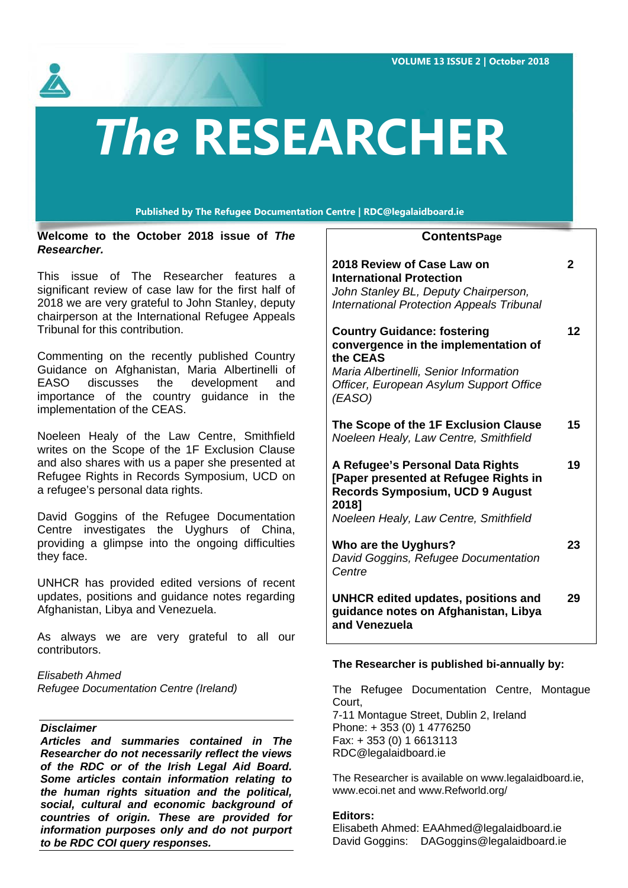**VOLUME 13 ISSUE 2 | October 2018**



# *The* **RESEARCHER**

**Published by The Refugee Documentation Centre | RDC@legalaidboard.ie**

**Welcome to the October 2018 issue of** *The Researcher.*

This issue of The Researcher features a significant review of case law for the first half of 2018 we are very grateful to John Stanley, deputy chairperson at the International Refugee Appeals Tribunal for this contribution.

Commenting on the recently published Country Guidance on Afghanistan, Maria Albertinelli of EASO discusses the development and importance of the country guidance in the implementation of the CEAS.

Noeleen Healy of the Law Centre, Smithfield writes on the Scope of the 1F Exclusion Clause and also shares with us a paper she presented at Refugee Rights in Records Symposium, UCD on a refugee's personal data rights.

David Goggins of the Refugee Documentation Centre investigates the Uyghurs of China, providing a glimpse into the ongoing difficulties they face.

UNHCR has provided edited versions of recent updates, positions and guidance notes regarding Afghanistan, Libya and Venezuela.

As always we are very grateful to all our contributors.

*Elisabeth Ahmed Refugee Documentation Centre (Ireland)*

# *Disclaimer*

*Articles and summaries contained in The Researcher do not necessarily reflect the views of the RDC or of the Irish Legal Aid Board. Some articles contain information relating to the human rights situation and the political, social, cultural and economic background of countries of origin. These are provided for information purposes only and do not purport to be RDC COI query responses.*

# **ContentsPage**

| 2018 Review of Case Law on<br><b>International Protection</b><br>John Stanley BL, Deputy Chairperson,<br><b>International Protection Appeals Tribunal</b>                             | 2  |
|---------------------------------------------------------------------------------------------------------------------------------------------------------------------------------------|----|
| <b>Country Guidance: fostering</b><br>convergence in the implementation of<br>the CEAS<br>Maria Albertinelli, Senior Information<br>Officer, European Asylum Support Office<br>(EASO) | 12 |
| The Scope of the 1F Exclusion Clause<br>Noeleen Healy, Law Centre, Smithfield                                                                                                         | 15 |
| A Refugee's Personal Data Rights<br>[Paper presented at Refugee Rights in<br><b>Records Symposium, UCD 9 August</b><br>2018]<br>Noeleen Healy, Law Centre, Smithfield                 | 19 |
| Who are the Uyghurs?<br>David Goggins, Refugee Documentation<br>Centre                                                                                                                | 23 |
| UNHCR edited updates, positions and                                                                                                                                                   | 29 |

# **The Researcher is published bi-annually by:**

The Refugee Documentation Centre, Montague Court, 7-11 Montague Street, Dublin 2, Ireland Phone: + 353 (0) 1 4776250 Fax: + 353 (0) 1 6613113 RD[C@legalaidboard.ie](http://www.legalaidboard.ie/)

The Researcher is available on [www.legalaidboard.ie,](http://www.legalaidboard.ie/) [www.ecoi.net](http://www.ecoi.net/) and [www.Refworld.org/](http://www.refworld.org/)

# **Editors:**

Elisabeth Ahmed: [EAAhmed@legalaidboard.ie](mailto:EAAhmed@legalaidboard.ie) David Goggins: [DAGoggins@legalaidboard.ie](mailto:DAGoggins@legalaidboard.ie)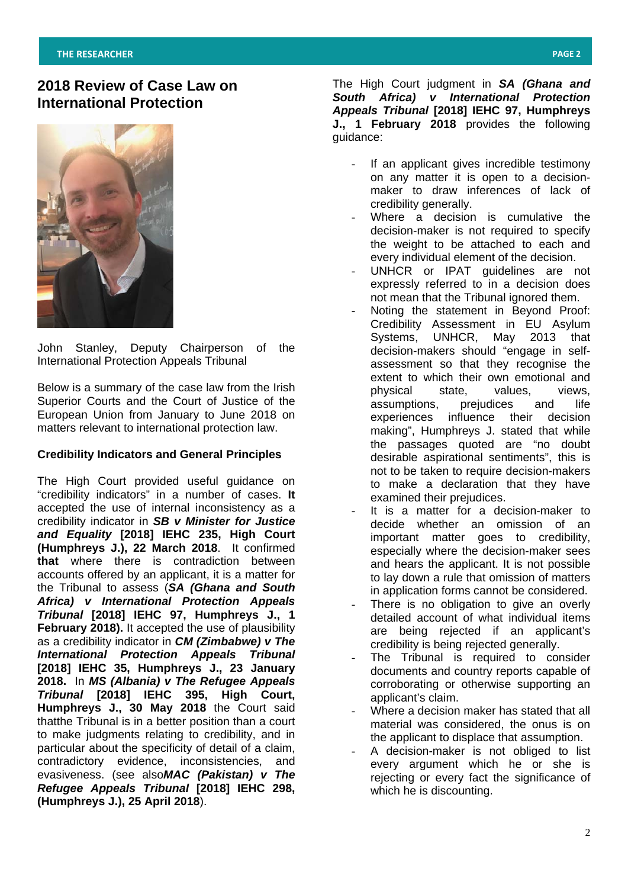# **2018 Review of Case Law on International Protection**



John Stanley, Deputy Chairperson of the International Protection Appeals Tribunal

Below is a summary of the case law from the Irish Superior Courts and the Court of Justice of the European Union from January to June 2018 on matters relevant to international protection law.

## **Credibility Indicators and General Principles**

The High Court provided useful guidance on "credibility indicators" in a number of cases. **It**  accepted the use of internal inconsistency as a credibility indicator in *SB v Minister for Justice and Equality* **[2018] IEHC 235, High Court (Humphreys J.), 22 March 2018**. It confirmed **that** where there is contradiction between accounts offered by an applicant, it is a matter for the Tribunal to assess (*SA (Ghana and South Africa) v International Protection Appeals Tribunal* **[2018] IEHC 97, Humphreys J., 1 February 2018).** It accepted the use of plausibility as a credibility indicator in *CM (Zimbabwe) v The International Protection Appeals Tribunal*  **[2018] IEHC 35, Humphreys J., 23 January 2018.** In *MS (Albania) v The Refugee Appeals Tribunal* **[2018] IEHC 395, High Court, Humphreys J., 30 May 2018** the Court said thatthe Tribunal is in a better position than a court to make judgments relating to credibility, and in particular about the specificity of detail of a claim, contradictory evidence, inconsistencies, and evasiveness. (see also*MAC (Pakistan) v The Refugee Appeals Tribunal* **[2018] IEHC 298, (Humphreys J.), 25 April 2018**).

The High Court judgment in *SA (Ghana and South Africa) v International Protection Appeals Tribunal* **[2018] IEHC 97, Humphreys J., 1 February 2018** provides the following guidance:

- If an applicant gives incredible testimony on any matter it is open to a decisionmaker to draw inferences of lack of credibility generally.
- Where a decision is cumulative the decision-maker is not required to specify the weight to be attached to each and every individual element of the decision.
- UNHCR or IPAT guidelines are not expressly referred to in a decision does not mean that the Tribunal ignored them.
- Noting the statement in Beyond Proof: Credibility Assessment in EU Asylum Systems, UNHCR, May 2013 that decision-makers should "engage in selfassessment so that they recognise the extent to which their own emotional and physical state, values, views, assumptions, prejudices and life experiences influence their decision making", Humphreys J. stated that while the passages quoted are "no doubt desirable aspirational sentiments", this is not to be taken to require decision-makers to make a declaration that they have examined their prejudices.
- It is a matter for a decision-maker to decide whether an omission of an important matter goes to credibility, especially where the decision-maker sees and hears the applicant. It is not possible to lay down a rule that omission of matters in application forms cannot be considered.
- There is no obligation to give an overly detailed account of what individual items are being rejected if an applicant's credibility is being rejected generally.
- The Tribunal is required to consider documents and country reports capable of corroborating or otherwise supporting an applicant's claim.
- Where a decision maker has stated that all material was considered, the onus is on the applicant to displace that assumption.
- A decision-maker is not obliged to list every argument which he or she is rejecting or every fact the significance of which he is discounting.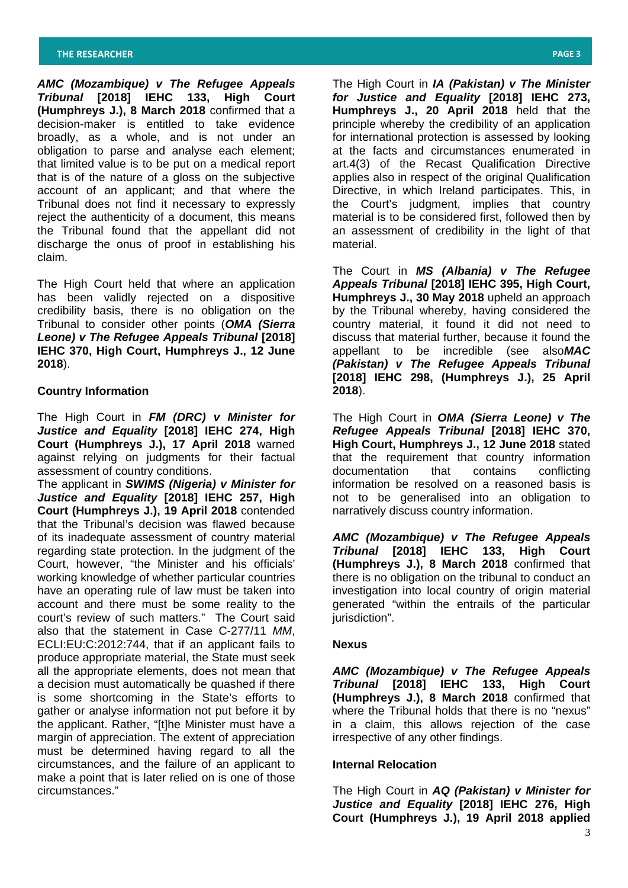*AMC (Mozambique) v The Refugee Appeals Tribunal* **[2018] IEHC 133, High Court (Humphreys J.), 8 March 2018** confirmed that a decision-maker is entitled to take evidence broadly, as a whole, and is not under an obligation to parse and analyse each element; that limited value is to be put on a medical report that is of the nature of a gloss on the subjective account of an applicant; and that where the Tribunal does not find it necessary to expressly reject the authenticity of a document, this means the Tribunal found that the appellant did not discharge the onus of proof in establishing his claim.

The High Court held that where an application has been validly rejected on a dispositive credibility basis, there is no obligation on the Tribunal to consider other points (*OMA (Sierra Leone) v The Refugee Appeals Tribunal* **[2018] IEHC 370, High Court, Humphreys J., 12 June 2018**).

#### **Country Information**

The High Court in *FM (DRC) v Minister for Justice and Equality* **[2018] IEHC 274, High Court (Humphreys J.), 17 April 2018** warned against relying on judgments for their factual assessment of country conditions.

The applicant in *SWIMS (Nigeria) v Minister for Justice and Equality* **[2018] IEHC 257, High Court (Humphreys J.), 19 April 2018** contended that the Tribunal's decision was flawed because of its inadequate assessment of country material regarding state protection. In the judgment of the Court, however, "the Minister and his officials' working knowledge of whether particular countries have an operating rule of law must be taken into account and there must be some reality to the court's review of such matters." The Court said also that the statement in Case C-277/11 *MM*, ECLI:EU:C:2012:744, that if an applicant fails to produce appropriate material, the State must seek all the appropriate elements, does not mean that a decision must automatically be quashed if there is some shortcoming in the State's efforts to gather or analyse information not put before it by the applicant. Rather, "[t]he Minister must have a margin of appreciation. The extent of appreciation must be determined having regard to all the circumstances, and the failure of an applicant to make a point that is later relied on is one of those circumstances."

The High Court in *IA (Pakistan) v The Minister for Justice and Equality* **[2018] IEHC 273, Humphreys J., 20 April 2018** held that the principle whereby the credibility of an application for international protection is assessed by looking at the facts and circumstances enumerated in art.4(3) of the Recast Qualification Directive applies also in respect of the original Qualification Directive, in which Ireland participates. This, in the Court's judgment, implies that country material is to be considered first, followed then by an assessment of credibility in the light of that material.

The Court in *MS (Albania) v The Refugee Appeals Tribunal* **[2018] IEHC 395, High Court, Humphreys J., 30 May 2018** upheld an approach by the Tribunal whereby, having considered the country material, it found it did not need to discuss that material further, because it found the appellant to be incredible (see also*MAC (Pakistan) v The Refugee Appeals Tribunal*  **[2018] IEHC 298, (Humphreys J.), 25 April 2018**).

The High Court in *OMA (Sierra Leone) v The Refugee Appeals Tribunal* **[2018] IEHC 370, High Court, Humphreys J., 12 June 2018** stated that the requirement that country information documentation that contains conflicting information be resolved on a reasoned basis is not to be generalised into an obligation to narratively discuss country information.

*AMC (Mozambique) v The Refugee Appeals Tribunal* **[2018] IEHC 133, High Court (Humphreys J.), 8 March 2018** confirmed that there is no obligation on the tribunal to conduct an investigation into local country of origin material generated "within the entrails of the particular jurisdiction".

#### **Nexus**

*AMC (Mozambique) v The Refugee Appeals Tribunal* **[2018] IEHC 133, High Court (Humphreys J.), 8 March 2018** confirmed that where the Tribunal holds that there is no "nexus" in a claim, this allows rejection of the case irrespective of any other findings.

## **Internal Relocation**

The High Court in *AQ (Pakistan) v Minister for Justice and Equality* **[2018] IEHC 276, High Court (Humphreys J.), 19 April 2018 applied**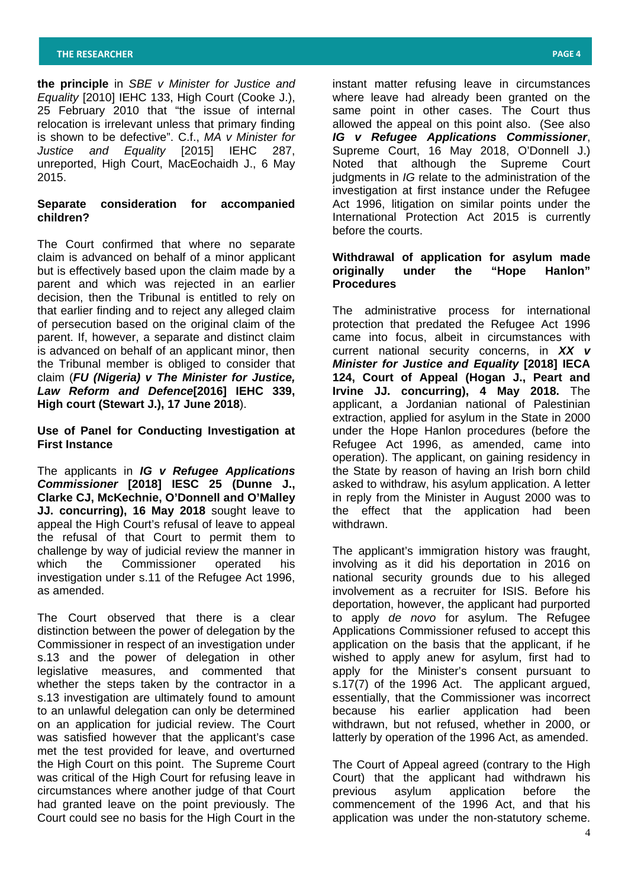**the principle** in *SBE v Minister for Justice and Equality* [2010] IEHC 133, High Court (Cooke J.), 25 February 2010 that "the issue of internal relocation is irrelevant unless that primary finding is shown to be defective". C.f., *MA v Minister for Justice and Equality* [2015] IEHC 287, unreported, High Court, MacEochaidh J., 6 May 2015.

# **Separate consideration for accompanied children?**

The Court confirmed that where no separate claim is advanced on behalf of a minor applicant but is effectively based upon the claim made by a parent and which was rejected in an earlier decision, then the Tribunal is entitled to rely on that earlier finding and to reject any alleged claim of persecution based on the original claim of the parent. If, however, a separate and distinct claim is advanced on behalf of an applicant minor, then the Tribunal member is obliged to consider that claim (*FU (Nigeria) v The Minister for Justice, Law Reform and Defence***[2016] IEHC 339, High court (Stewart J.), 17 June 2018**).

**Use of Panel for Conducting Investigation at First Instance**

The applicants in *IG v Refugee Applications Commissioner* **[2018] IESC 25 (Dunne J., Clarke CJ, McKechnie, O'Donnell and O'Malley JJ. concurring), 16 May 2018** sought leave to appeal the High Court's refusal of leave to appeal the refusal of that Court to permit them to challenge by way of judicial review the manner in which the Commissioner operated his investigation under s.11 of the Refugee Act 1996, as amended.

The Court observed that there is a clear distinction between the power of delegation by the Commissioner in respect of an investigation under s.13 and the power of delegation in other legislative measures, and commented that whether the steps taken by the contractor in a s.13 investigation are ultimately found to amount to an unlawful delegation can only be determined on an application for judicial review. The Court was satisfied however that the applicant's case met the test provided for leave, and overturned the High Court on this point. The Supreme Court was critical of the High Court for refusing leave in circumstances where another judge of that Court had granted leave on the point previously. The Court could see no basis for the High Court in the

instant matter refusing leave in circumstances where leave had already been granted on the same point in other cases. The Court thus allowed the appeal on this point also. (See also *IG v Refugee Applications Commissioner*, Supreme Court, 16 May 2018, O'Donnell J.) Noted that although the Supreme Court judgments in *IG* relate to the administration of the investigation at first instance under the Refugee Act 1996, litigation on similar points under the International Protection Act 2015 is currently before the courts.

## **Withdrawal of application for asylum made originally under the "Hope Hanlon" Procedures**

The administrative process for international protection that predated the Refugee Act 1996 came into focus, albeit in circumstances with current national security concerns, in *XX v Minister for Justice and Equality* **[2018] IECA 124, Court of Appeal (Hogan J., Peart and Irvine JJ. concurring), 4 May 2018.** The applicant, a Jordanian national of Palestinian extraction, applied for asylum in the State in 2000 under the Hope Hanlon procedures (before the Refugee Act 1996, as amended, came into operation). The applicant, on gaining residency in the State by reason of having an Irish born child asked to withdraw, his asylum application. A letter in reply from the Minister in August 2000 was to the effect that the application had been withdrawn.

The applicant's immigration history was fraught, involving as it did his deportation in 2016 on national security grounds due to his alleged involvement as a recruiter for ISIS. Before his deportation, however, the applicant had purported to apply *de novo* for asylum. The Refugee Applications Commissioner refused to accept this application on the basis that the applicant, if he wished to apply anew for asylum, first had to apply for the Minister's consent pursuant to s.17(7) of the 1996 Act. The applicant argued, essentially, that the Commissioner was incorrect because his earlier application had been withdrawn, but not refused, whether in 2000, or latterly by operation of the 1996 Act, as amended.

The Court of Appeal agreed (contrary to the High Court) that the applicant had withdrawn his previous asylum application before the commencement of the 1996 Act, and that his application was under the non-statutory scheme.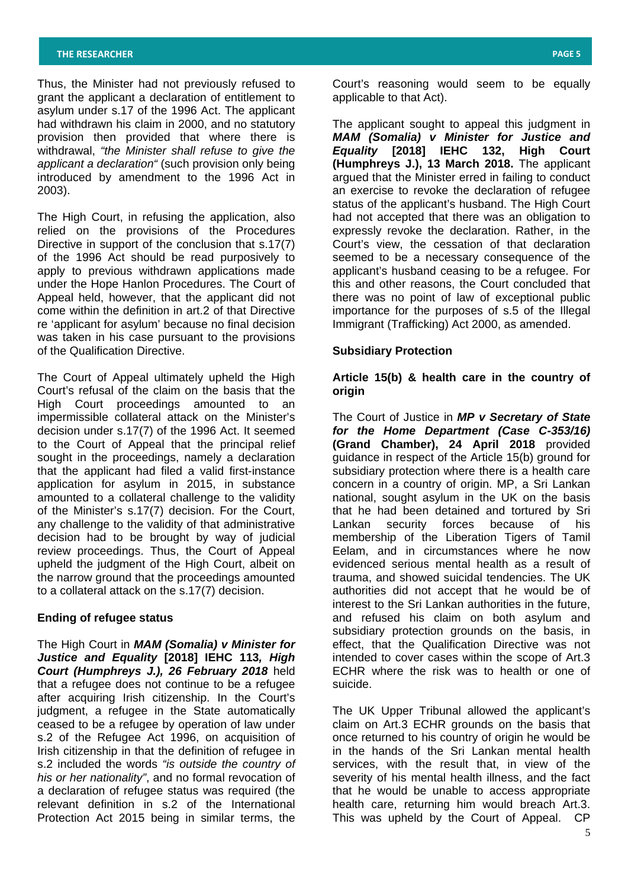Thus, the Minister had not previously refused to grant the applicant a declaration of entitlement to asylum under s.17 of the 1996 Act. The applicant had withdrawn his claim in 2000, and no statutory provision then provided that where there is withdrawal, *"the Minister shall refuse to give the applicant a declaration"* (such provision only being introduced by amendment to the 1996 Act in 2003).

The High Court, in refusing the application, also relied on the provisions of the Procedures Directive in support of the conclusion that s.17(7) of the 1996 Act should be read purposively to apply to previous withdrawn applications made under the Hope Hanlon Procedures. The Court of Appeal held, however, that the applicant did not come within the definition in art.2 of that Directive re 'applicant for asylum' because no final decision was taken in his case pursuant to the provisions of the Qualification Directive.

The Court of Appeal ultimately upheld the High Court's refusal of the claim on the basis that the High Court proceedings amounted to an impermissible collateral attack on the Minister's decision under s.17(7) of the 1996 Act. It seemed to the Court of Appeal that the principal relief sought in the proceedings, namely a declaration that the applicant had filed a valid first-instance application for asylum in 2015, in substance amounted to a collateral challenge to the validity of the Minister's s.17(7) decision. For the Court, any challenge to the validity of that administrative decision had to be brought by way of judicial review proceedings. Thus, the Court of Appeal upheld the judgment of the High Court, albeit on the narrow ground that the proceedings amounted to a collateral attack on the s.17(7) decision.

#### **Ending of refugee status**

The High Court in *MAM (Somalia) v Minister for Justice and Equality* **[2018] IEHC 113***, High Court (Humphreys J.), 26 February 2018* held that a refugee does not continue to be a refugee after acquiring Irish citizenship. In the Court's judgment, a refugee in the State automatically ceased to be a refugee by operation of law under s.2 of the Refugee Act 1996, on acquisition of Irish citizenship in that the definition of refugee in s.2 included the words *"is outside the country of his or her nationality"*, and no formal revocation of a declaration of refugee status was required (the relevant definition in s.2 of the International Protection Act 2015 being in similar terms, the

Court's reasoning would seem to be equally applicable to that Act).

The applicant sought to appeal this judgment in *MAM (Somalia) v Minister for Justice and Equality* **[2018] IEHC 132, High Court (Humphreys J.), 13 March 2018.** The applicant argued that the Minister erred in failing to conduct an exercise to revoke the declaration of refugee status of the applicant's husband. The High Court had not accepted that there was an obligation to expressly revoke the declaration. Rather, in the Court's view, the cessation of that declaration seemed to be a necessary consequence of the applicant's husband ceasing to be a refugee. For this and other reasons, the Court concluded that there was no point of law of exceptional public importance for the purposes of s.5 of the Illegal Immigrant (Trafficking) Act 2000, as amended.

# **Subsidiary Protection**

## **Article 15(b) & health care in the country of origin**

The Court of Justice in *MP v Secretary of State for the Home Department (Case C-353/16)*  **(Grand Chamber), 24 April 2018** provided guidance in respect of the Article 15(b) ground for subsidiary protection where there is a health care concern in a country of origin. MP, a Sri Lankan national, sought asylum in the UK on the basis that he had been detained and tortured by Sri Lankan security forces because of his membership of the Liberation Tigers of Tamil Eelam, and in circumstances where he now evidenced serious mental health as a result of trauma, and showed suicidal tendencies. The UK authorities did not accept that he would be of interest to the Sri Lankan authorities in the future, and refused his claim on both asylum and subsidiary protection grounds on the basis, in effect, that the Qualification Directive was not intended to cover cases within the scope of Art.3 ECHR where the risk was to health or one of suicide.

The UK Upper Tribunal allowed the applicant's claim on Art.3 ECHR grounds on the basis that once returned to his country of origin he would be in the hands of the Sri Lankan mental health services, with the result that, in view of the severity of his mental health illness, and the fact that he would be unable to access appropriate health care, returning him would breach Art.3. This was upheld by the Court of Appeal. CP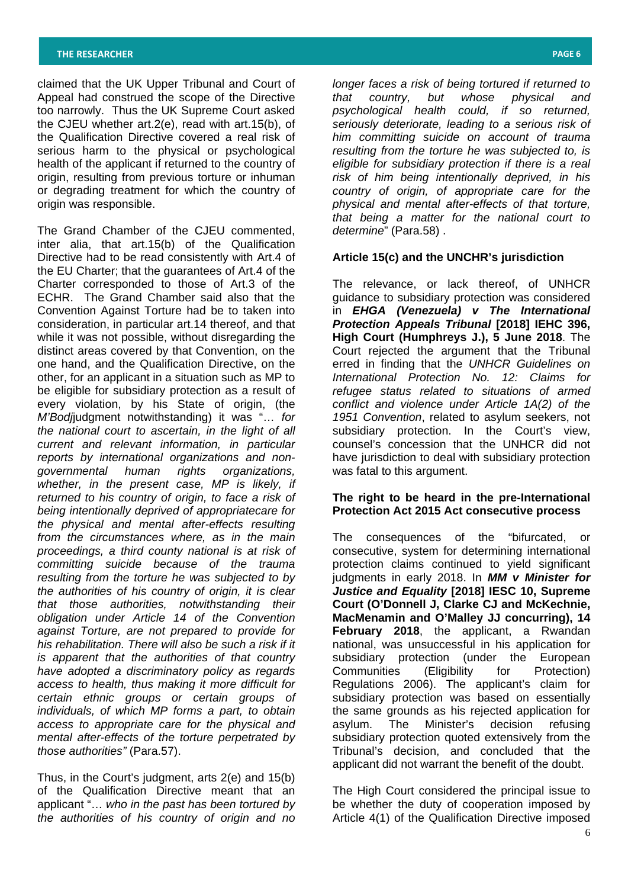claimed that the UK Upper Tribunal and Court of Appeal had construed the scope of the Directive too narrowly. Thus the UK Supreme Court asked the CJEU whether art.2(e), read with art.15(b), of the Qualification Directive covered a real risk of serious harm to the physical or psychological health of the applicant if returned to the country of origin, resulting from previous torture or inhuman or degrading treatment for which the country of origin was responsible.

The Grand Chamber of the CJEU commented, inter alia, that art.15(b) of the Qualification Directive had to be read consistently with Art.4 of the EU Charter; that the guarantees of Art.4 of the Charter corresponded to those of Art.3 of the ECHR. The Grand Chamber said also that the Convention Against Torture had be to taken into consideration, in particular art.14 thereof, and that while it was not possible, without disregarding the distinct areas covered by that Convention, on the one hand, and the Qualification Directive, on the other, for an applicant in a situation such as MP to be eligible for subsidiary protection as a result of every violation, by his State of origin, (the *M'Bodj*judgment notwithstanding) it was "… *for the national court to ascertain, in the light of all current and relevant information, in particular reports by international organizations and nongovernmental human rights organizations, whether, in the present case, MP is likely, if returned to his country of origin, to face a risk of being intentionally deprived of appropriatecare for the physical and mental after-effects resulting from the circumstances where, as in the main proceedings, a third county national is at risk of committing suicide because of the trauma resulting from the torture he was subjected to by the authorities of his country of origin, it is clear that those authorities, notwithstanding their obligation under Article 14 of the Convention against Torture, are not prepared to provide for his rehabilitation. There will also be such a risk if it is apparent that the authorities of that country have adopted a discriminatory policy as regards access to health, thus making it more difficult for certain ethnic groups or certain groups of individuals, of which MP forms a part, to obtain access to appropriate care for the physical and mental after-effects of the torture perpetrated by those authorities"* (Para.57).

Thus, in the Court's judgment, arts 2(e) and 15(b) of the Qualification Directive meant that an applicant "… *who in the past has been tortured by the authorities of his country of origin and no* 

*longer faces a risk of being tortured if returned to that country, but whose physical and psychological health could, if so returned, seriously deteriorate, leading to a serious risk of him committing suicide on account of trauma resulting from the torture he was subjected to, is eligible for subsidiary protection if there is a real risk of him being intentionally deprived, in his country of origin, of appropriate care for the physical and mental after-effects of that torture, that being a matter for the national court to determine*" (Para.58) .

#### **Article 15(c) and the UNCHR's jurisdiction**

The relevance, or lack thereof, of UNHCR guidance to subsidiary protection was considered in *EHGA (Venezuela) v The International Protection Appeals Tribunal* **[2018] IEHC 396, High Court (Humphreys J.), 5 June 2018**. The Court rejected the argument that the Tribunal erred in finding that the *UNHCR Guidelines on International Protection No. 12: Claims for refugee status related to situations of armed conflict and violence under Article 1A(2) of the 1951 Convention*, related to asylum seekers, not subsidiary protection. In the Court's view, counsel's concession that the UNHCR did not have jurisdiction to deal with subsidiary protection was fatal to this argument.

## **The right to be heard in the pre-International Protection Act 2015 Act consecutive process**

The consequences of the "bifurcated, or consecutive, system for determining international protection claims continued to yield significant judgments in early 2018. In *MM v Minister for Justice and Equality* **[2018] IESC 10, Supreme Court (O'Donnell J, Clarke CJ and McKechnie, MacMenamin and O'Malley JJ concurring), 14 February 2018**, the applicant, a Rwandan national, was unsuccessful in his application for subsidiary protection (under the European Communities (Eligibility for Protection) Regulations 2006). The applicant's claim for subsidiary protection was based on essentially the same grounds as his rejected application for asylum. The Minister's decision refusing subsidiary protection quoted extensively from the Tribunal's decision, and concluded that the applicant did not warrant the benefit of the doubt.

The High Court considered the principal issue to be whether the duty of cooperation imposed by Article 4(1) of the Qualification Directive imposed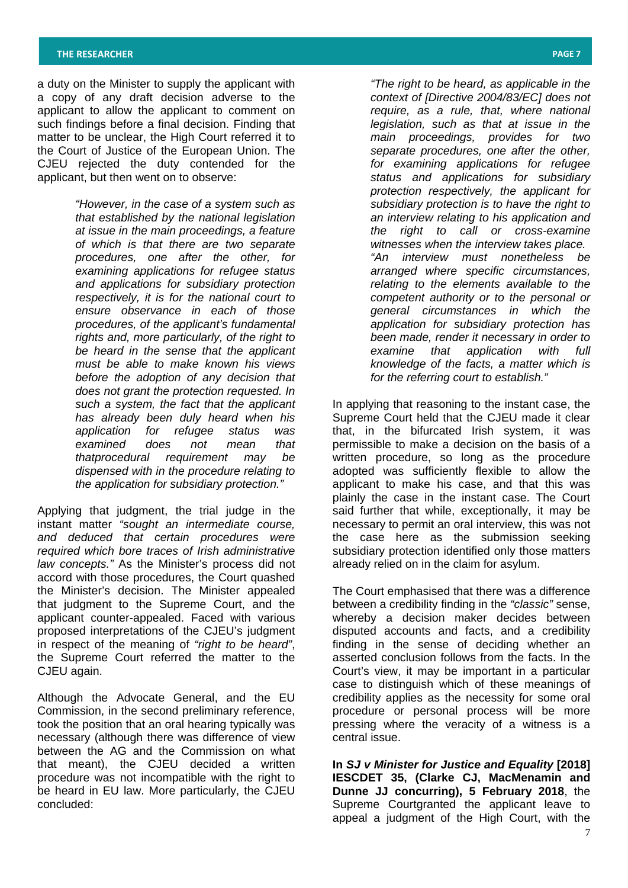a duty on the Minister to supply the applicant with a copy of any draft decision adverse to the applicant to allow the applicant to comment on such findings before a final decision. Finding that matter to be unclear, the High Court referred it to the Court of Justice of the European Union. The CJEU rejected the duty contended for the applicant, but then went on to observe:

> *"However, in the case of a system such as that established by the national legislation at issue in the main proceedings, a feature of which is that there are two separate procedures, one after the other, for examining applications for refugee status and applications for subsidiary protection respectively, it is for the national court to ensure observance in each of those procedures, of the applicant's fundamental rights and, more particularly, of the right to be heard in the sense that the applicant must be able to make known his views before the adoption of any decision that does not grant the protection requested. In such a system, the fact that the applicant has already been duly heard when his application for refugee status was examined does not mean that thatprocedural requirement may be dispensed with in the procedure relating to the application for subsidiary protection."*

Applying that judgment, the trial judge in the instant matter *"sought an intermediate course, and deduced that certain procedures were required which bore traces of Irish administrative law concepts."* As the Minister's process did not accord with those procedures, the Court quashed the Minister's decision. The Minister appealed that judgment to the Supreme Court, and the applicant counter-appealed. Faced with various proposed interpretations of the CJEU's judgment in respect of the meaning of *"right to be heard"*, the Supreme Court referred the matter to the CJEU again.

Although the Advocate General, and the EU Commission, in the second preliminary reference, took the position that an oral hearing typically was necessary (although there was difference of view between the AG and the Commission on what that meant), the CJEU decided a written procedure was not incompatible with the right to be heard in EU law. More particularly, the CJEU concluded:

*"The right to be heard, as applicable in the context of [Directive 2004/83/EC] does not require, as a rule, that, where national legislation, such as that at issue in the main proceedings, provides for two separate procedures, one after the other, for examining applications for refugee status and applications for subsidiary protection respectively, the applicant for subsidiary protection is to have the right to an interview relating to his application and the right to call or cross-examine witnesses when the interview takes place. "An interview must nonetheless be arranged where specific circumstances, relating to the elements available to the competent authority or to the personal or general circumstances in which the application for subsidiary protection has been made, render it necessary in order to examine that application with full knowledge of the facts, a matter which is for the referring court to establish."* 

In applying that reasoning to the instant case, the Supreme Court held that the CJEU made it clear that, in the bifurcated Irish system, it was permissible to make a decision on the basis of a written procedure, so long as the procedure adopted was sufficiently flexible to allow the applicant to make his case, and that this was plainly the case in the instant case. The Court said further that while, exceptionally, it may be necessary to permit an oral interview, this was not the case here as the submission seeking subsidiary protection identified only those matters already relied on in the claim for asylum.

The Court emphasised that there was a difference between a credibility finding in the *"classic"* sense, whereby a decision maker decides between disputed accounts and facts, and a credibility finding in the sense of deciding whether an asserted conclusion follows from the facts. In the Court's view, it may be important in a particular case to distinguish which of these meanings of credibility applies as the necessity for some oral procedure or personal process will be more pressing where the veracity of a witness is a central issue.

**In** *SJ v Minister for Justice and Equality* **[2018] IESCDET 35, (Clarke CJ, MacMenamin and Dunne JJ concurring), 5 February 2018**, the Supreme Courtgranted the applicant leave to appeal a judgment of the High Court, with the

7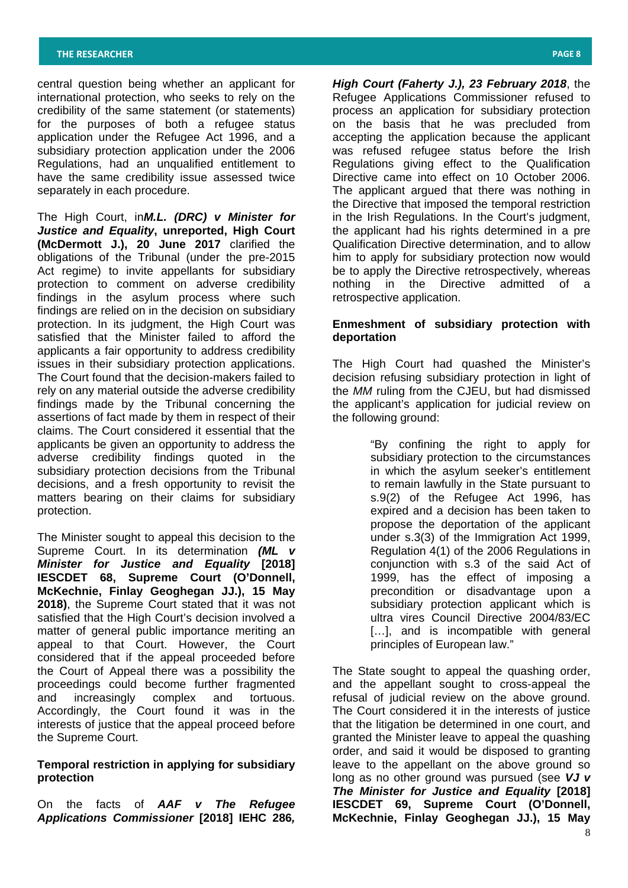central question being whether an applicant for international protection, who seeks to rely on the credibility of the same statement (or statements) for the purposes of both a refugee status application under the Refugee Act 1996, and a subsidiary protection application under the 2006 Regulations, had an unqualified entitlement to have the same credibility issue assessed twice separately in each procedure.

The High Court, in*M.L. (DRC) v Minister for Justice and Equality***, unreported, High Court (McDermott J.), 20 June 2017** clarified the obligations of the Tribunal (under the pre-2015 Act regime) to invite appellants for subsidiary protection to comment on adverse credibility findings in the asylum process where such findings are relied on in the decision on subsidiary protection. In its judgment, the High Court was satisfied that the Minister failed to afford the applicants a fair opportunity to address credibility issues in their subsidiary protection applications. The Court found that the decision-makers failed to rely on any material outside the adverse credibility findings made by the Tribunal concerning the assertions of fact made by them in respect of their claims. The Court considered it essential that the applicants be given an opportunity to address the adverse credibility findings quoted in the subsidiary protection decisions from the Tribunal decisions, and a fresh opportunity to revisit the matters bearing on their claims for subsidiary protection.

The Minister sought to appeal this decision to the Supreme Court. In its determination *(ML v Minister for Justice and Equality* **[2018] IESCDET 68, Supreme Court (O'Donnell, McKechnie, Finlay Geoghegan JJ.), 15 May 2018)**, the Supreme Court stated that it was not satisfied that the High Court's decision involved a matter of general public importance meriting an appeal to that Court. However, the Court considered that if the appeal proceeded before the Court of Appeal there was a possibility the proceedings could become further fragmented and increasingly complex and tortuous. Accordingly, the Court found it was in the interests of justice that the appeal proceed before the Supreme Court.

# **Temporal restriction in applying for subsidiary protection**

On the facts of *AAF v The Refugee Applications Commissioner* **[2018] IEHC 286***,*  *High Court (Faherty J.), 23 February 2018*, the Refugee Applications Commissioner refused to process an application for subsidiary protection on the basis that he was precluded from accepting the application because the applicant was refused refugee status before the Irish Regulations giving effect to the Qualification Directive came into effect on 10 October 2006. The applicant argued that there was nothing in the Directive that imposed the temporal restriction in the Irish Regulations. In the Court's judgment, the applicant had his rights determined in a pre Qualification Directive determination, and to allow him to apply for subsidiary protection now would be to apply the Directive retrospectively, whereas nothing in the Directive admitted of a retrospective application.

# **Enmeshment of subsidiary protection with deportation**

The High Court had quashed the Minister's decision refusing subsidiary protection in light of the *MM* ruling from the CJEU, but had dismissed the applicant's application for judicial review on the following ground:

> "By confining the right to apply for subsidiary protection to the circumstances in which the asylum seeker's entitlement to remain lawfully in the State pursuant to s.9(2) of the Refugee Act 1996, has expired and a decision has been taken to propose the deportation of the applicant under s.3(3) of the Immigration Act 1999, Regulation 4(1) of the 2006 Regulations in conjunction with s.3 of the said Act of 1999, has the effect of imposing a precondition or disadvantage upon a subsidiary protection applicant which is ultra vires Council Directive 2004/83/EC [...], and is incompatible with general principles of European law."

8 The State sought to appeal the quashing order, and the appellant sought to cross-appeal the refusal of judicial review on the above ground. The Court considered it in the interests of justice that the litigation be determined in one court, and granted the Minister leave to appeal the quashing order, and said it would be disposed to granting leave to the appellant on the above ground so long as no other ground was pursued (see *VJ v The Minister for Justice and Equality* **[2018] IESCDET 69, Supreme Court (O'Donnell, McKechnie, Finlay Geoghegan JJ.), 15 May**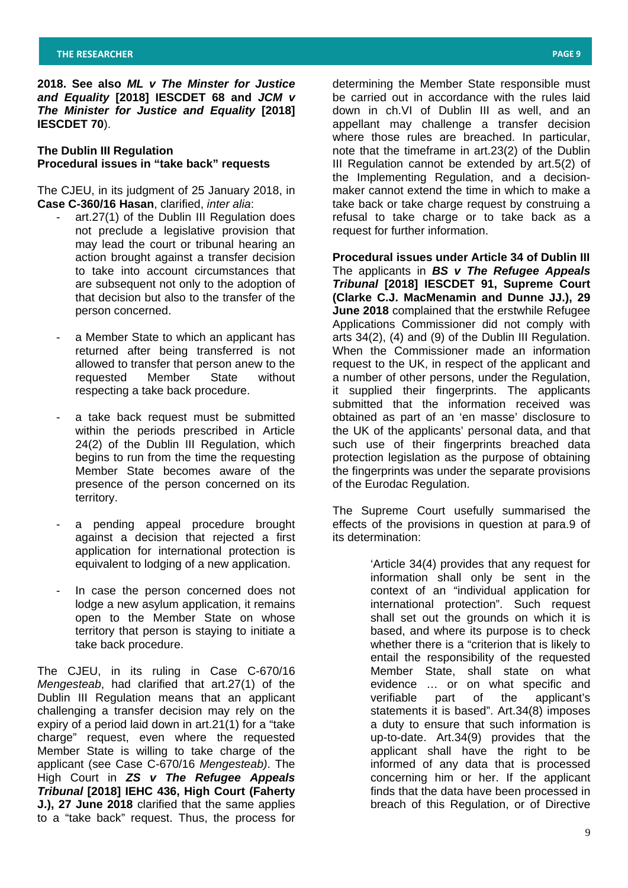**2018. See also** *ML v The Minster for Justice and Equality* **[2018] IESCDET 68 and** *JCM v The Minister for Justice and Equality* **[2018] IESCDET 70**).

## **The Dublin III Regulation Procedural issues in "take back" requests**

The CJEU, in its judgment of 25 January 2018, in **Case C-360/16 Hasan**, clarified, *inter alia*:

- art.27(1) of the Dublin III Regulation does not preclude a legislative provision that may lead the court or tribunal hearing an action brought against a transfer decision to take into account circumstances that are subsequent not only to the adoption of that decision but also to the transfer of the person concerned.
- a Member State to which an applicant has returned after being transferred is not allowed to transfer that person anew to the requested Member State without requested Member State without respecting a take back procedure.
- a take back request must be submitted within the periods prescribed in Article 24(2) of the Dublin III Regulation, which begins to run from the time the requesting Member State becomes aware of the presence of the person concerned on its territory.
- a pending appeal procedure brought against a decision that rejected a first application for international protection is equivalent to lodging of a new application.
- In case the person concerned does not lodge a new asylum application, it remains open to the Member State on whose territory that person is staying to initiate a take back procedure.

The CJEU, in its ruling in Case C-670/16 *Mengesteab*, had clarified that art.27(1) of the Dublin III Regulation means that an applicant challenging a transfer decision may rely on the expiry of a period laid down in art.21(1) for a "take charge" request, even where the requested Member State is willing to take charge of the applicant (see Case C-670/16 *Mengesteab)*. The High Court in *ZS v The Refugee Appeals Tribunal* **[2018] IEHC 436, High Court (Faherty J.), 27 June 2018** clarified that the same applies to a "take back" request. Thus, the process for

determining the Member State responsible must be carried out in accordance with the rules laid down in ch.VI of Dublin III as well, and an appellant may challenge a transfer decision where those rules are breached. In particular, note that the timeframe in art.23(2) of the Dublin III Regulation cannot be extended by art.5(2) of the Implementing Regulation, and a decisionmaker cannot extend the time in which to make a take back or take charge request by construing a refusal to take charge or to take back as a request for further information.

**Procedural issues under Article 34 of Dublin III**  The applicants in *BS v The Refugee Appeals Tribunal* **[2018] IESCDET 91, Supreme Court (Clarke C.J. MacMenamin and Dunne JJ.), 29 June 2018** complained that the erstwhile Refugee Applications Commissioner did not comply with arts 34(2), (4) and (9) of the Dublin III Regulation. When the Commissioner made an information request to the UK, in respect of the applicant and a number of other persons, under the Regulation, it supplied their fingerprints. The applicants submitted that the information received was obtained as part of an 'en masse' disclosure to the UK of the applicants' personal data, and that such use of their fingerprints breached data protection legislation as the purpose of obtaining the fingerprints was under the separate provisions of the Eurodac Regulation.

The Supreme Court usefully summarised the effects of the provisions in question at para.9 of its determination:

> 'Article 34(4) provides that any request for information shall only be sent in the context of an "individual application for international protection". Such request shall set out the grounds on which it is based, and where its purpose is to check whether there is a "criterion that is likely to entail the responsibility of the requested Member State, shall state on what evidence ... or on what specific and<br>verifiable part of the applicant's part of the applicant's statements it is based". Art.34(8) imposes a duty to ensure that such information is up-to-date. Art.34(9) provides that the applicant shall have the right to be informed of any data that is processed concerning him or her. If the applicant finds that the data have been processed in breach of this Regulation, or of Directive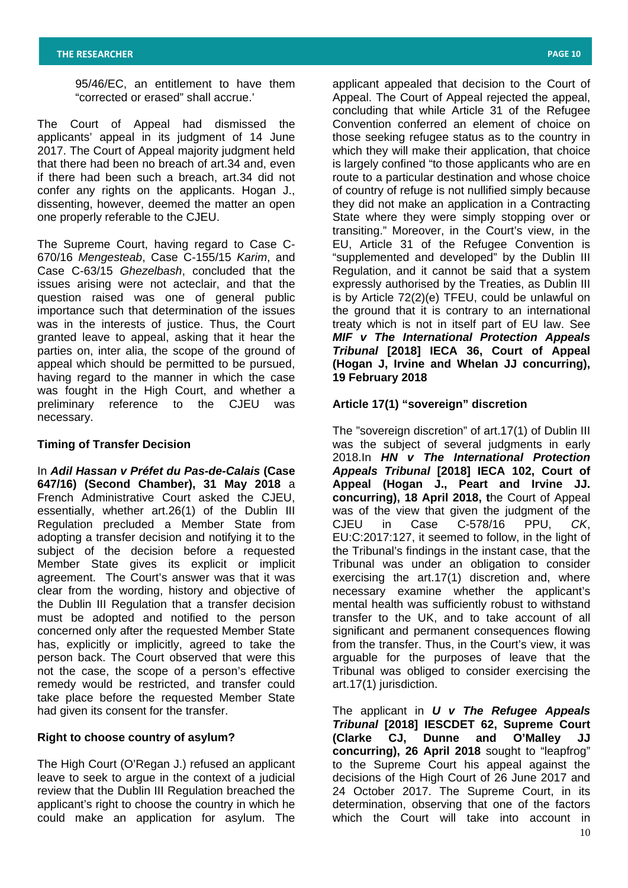95/46/EC, an entitlement to have them "corrected or erased" shall accrue.'

The Court of Appeal had dismissed the applicants' appeal in its judgment of 14 June 2017. The Court of Appeal majority judgment held that there had been no breach of art.34 and, even if there had been such a breach, art.34 did not confer any rights on the applicants. Hogan J., dissenting, however, deemed the matter an open one properly referable to the CJEU.

The Supreme Court, having regard to Case C-670/16 *Mengesteab*, Case C-155/15 *Karim*, and Case C-63/15 *Ghezelbash*, concluded that the issues arising were not acteclair, and that the question raised was one of general public importance such that determination of the issues was in the interests of justice. Thus, the Court granted leave to appeal, asking that it hear the parties on, inter alia, the scope of the ground of appeal which should be permitted to be pursued, having regard to the manner in which the case was fought in the High Court, and whether a preliminary reference to the CJEU was necessary.

## **Timing of Transfer Decision**

In *Adil Hassan v Préfet du Pas-de-Calais* **(Case 647/16) (Second Chamber), 31 May 2018** a French Administrative Court asked the CJEU, essentially, whether art.26(1) of the Dublin III Regulation precluded a Member State from adopting a transfer decision and notifying it to the subject of the decision before a requested Member State gives its explicit or implicit agreement. The Court's answer was that it was clear from the wording, history and objective of the Dublin III Regulation that a transfer decision must be adopted and notified to the person concerned only after the requested Member State has, explicitly or implicitly, agreed to take the person back. The Court observed that were this not the case, the scope of a person's effective remedy would be restricted, and transfer could take place before the requested Member State had given its consent for the transfer.

## **Right to choose country of asylum?**

The High Court (O'Regan J.) refused an applicant leave to seek to argue in the context of a judicial review that the Dublin III Regulation breached the applicant's right to choose the country in which he could make an application for asylum. The

applicant appealed that decision to the Court of Appeal. The Court of Appeal rejected the appeal, concluding that while Article 31 of the Refugee Convention conferred an element of choice on those seeking refugee status as to the country in which they will make their application, that choice is largely confined "to those applicants who are en route to a particular destination and whose choice of country of refuge is not nullified simply because they did not make an application in a Contracting State where they were simply stopping over or transiting." Moreover, in the Court's view, in the EU, Article 31 of the Refugee Convention is "supplemented and developed" by the Dublin III Regulation, and it cannot be said that a system expressly authorised by the Treaties, as Dublin III is by Article 72(2)(e) TFEU, could be unlawful on the ground that it is contrary to an international treaty which is not in itself part of EU law. See *MIF v The International Protection Appeals Tribunal* **[2018] IECA 36, Court of Appeal (Hogan J, Irvine and Whelan JJ concurring), 19 February 2018** 

## **Article 17(1) "sovereign" discretion**

The "sovereign discretion" of art.17(1) of Dublin III was the subject of several judgments in early 2018.In *HN v The International Protection Appeals Tribunal* **[2018] IECA 102, Court of Appeal (Hogan J., Peart and Irvine JJ. concurring), 18 April 2018, t**he Court of Appeal was of the view that given the judgment of the CJEU in Case C-578/16 PPU, *CK*, EU:C:2017:127, it seemed to follow, in the light of the Tribunal's findings in the instant case, that the Tribunal was under an obligation to consider exercising the art.17(1) discretion and, where necessary examine whether the applicant's mental health was sufficiently robust to withstand transfer to the UK, and to take account of all significant and permanent consequences flowing from the transfer. Thus, in the Court's view, it was arguable for the purposes of leave that the Tribunal was obliged to consider exercising the art.17(1) jurisdiction.

10 The applicant in *U v The Refugee Appeals Tribunal* **[2018] IESCDET 62, Supreme Court (Clarke CJ, Dunne and O'Malley JJ concurring), 26 April 2018** sought to "leapfrog" to the Supreme Court his appeal against the decisions of the High Court of 26 June 2017 and 24 October 2017. The Supreme Court, in its determination, observing that one of the factors which the Court will take into account in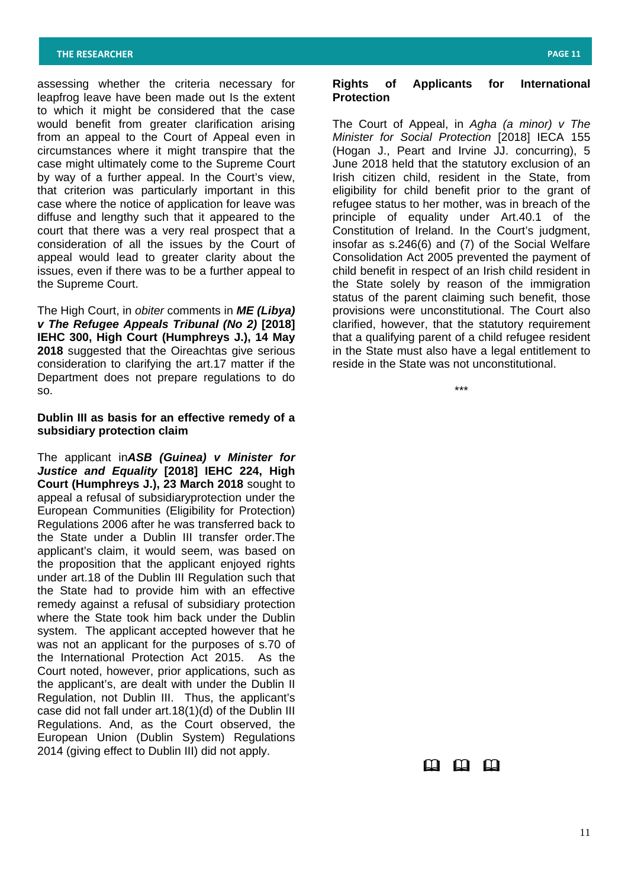assessing whether the criteria necessary for leapfrog leave have been made out Is the extent to which it might be considered that the case would benefit from greater clarification arising from an appeal to the Court of Appeal even in circumstances where it might transpire that the case might ultimately come to the Supreme Court by way of a further appeal. In the Court's view, that criterion was particularly important in this case where the notice of application for leave was diffuse and lengthy such that it appeared to the court that there was a very real prospect that a consideration of all the issues by the Court of appeal would lead to greater clarity about the issues, even if there was to be a further appeal to the Supreme Court.

The High Court, in *obiter* comments in *ME (Libya) v The Refugee Appeals Tribunal (No 2)* **[2018] IEHC 300, High Court (Humphreys J.), 14 May 2018** suggested that the Oireachtas give serious consideration to clarifying the art.17 matter if the Department does not prepare regulations to do so.

## **Dublin III as basis for an effective remedy of a subsidiary protection claim**

The applicant in*ASB (Guinea) v Minister for Justice and Equality* **[2018] IEHC 224, High Court (Humphreys J.), 23 March 2018** sought to appeal a refusal of subsidiaryprotection under the European Communities (Eligibility for Protection) Regulations 2006 after he was transferred back to the State under a Dublin III transfer order.The applicant's claim, it would seem, was based on the proposition that the applicant enjoyed rights under art.18 of the Dublin III Regulation such that the State had to provide him with an effective remedy against a refusal of subsidiary protection where the State took him back under the Dublin system. The applicant accepted however that he was not an applicant for the purposes of s.70 of the International Protection Act 2015. As the Court noted, however, prior applications, such as the applicant's, are dealt with under the Dublin II Regulation, not Dublin III. Thus, the applicant's case did not fall under art.18(1)(d) of the Dublin III Regulations. And, as the Court observed, the European Union (Dublin System) Regulations 2014 (giving effect to Dublin III) did not apply.

## **Rights of Applicants for International Protection**

The Court of Appeal, in *Agha (a minor) v The Minister for Social Protection* [2018] IECA 155 (Hogan J., Peart and Irvine JJ. concurring), 5 June 2018 held that the statutory exclusion of an Irish citizen child, resident in the State, from eligibility for child benefit prior to the grant of refugee status to her mother, was in breach of the principle of equality under Art.40.1 of the .<br>Constitution of Ireland. In the Court's judgment, insofar as s.246(6) and (7) of the Social Welfare Consolidation Act 2005 prevented the payment of child benefit in respect of an Irish child resident in the State solely by reason of the immigration status of the parent claiming such benefit, those provisions were unconstitutional. The Court also clarified, however, that the statutory requirement that a qualifying parent of a child refugee resident in the State must also have a legal entitlement to reside in the State was not unconstitutional.

\*\*\*

# $\square$   $\square$   $\square$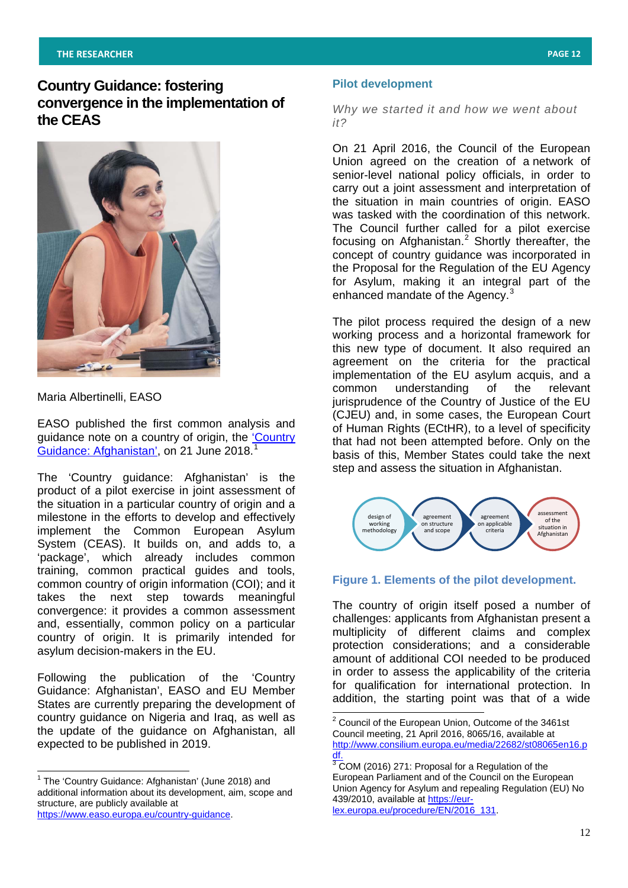## **THE RESEARCHER PAGE 12**

# **Country Guidance: fostering convergence in the implementation of the CEAS**



Maria Albertinelli, EASO

EASO published the first common analysis and guidance note on a country of origin, the ['Country](https://www.easo.europa.eu/sites/default/files/easo-country-guidance-afghanistan-2018.pdf)  [Guidance: Afghanistan',](https://www.easo.europa.eu/sites/default/files/easo-country-guidance-afghanistan-2018.pdf) on 2[1](#page-11-0) June 2018.

The 'Country guidance: Afghanistan' is the product of a pilot exercise in joint assessment of the situation in a particular country of origin and a milestone in the efforts to develop and effectively implement the Common European Asylum System (CEAS). It builds on, and adds to, a 'package', which already includes common training, common practical guides and tools, common country of origin information (COI); and it takes the next step towards meaningful convergence: it provides a common assessment and, essentially, common policy on a particular country of origin. It is primarily intended for asylum decision-makers in the EU.

<span id="page-11-1"></span>Following the publication of the 'Country Guidance: Afghanistan', EASO and EU Member States are currently preparing the development of country guidance on Nigeria and Iraq, as well as the update of the guidance on Afghanistan, all expected to be published in 2019.

#### **Pilot development**

*Why we started it and how we went about it?*

On 21 April 2016, the Council of the European Union agreed on the creation of a network of senior-level national policy officials, in order to carry out a joint assessment and interpretation of the situation in main countries of origin. EASO was tasked with the coordination of this network. The Council further called for a pilot exercise focusing on Afghanistan. $2$  Shortly thereafter, the concept of country guidance was incorporated in the Proposal for the Regulation of the EU Agency for Asylum, making it an integral part of the enhanced mandate of the Agency.<sup>[3](#page-11-1)</sup>

The pilot process required the design of a new working process and a horizontal framework for this new type of document. It also required an agreement on the criteria for the practical implementation of the EU asylum acquis, and a common understanding of the relevant jurisprudence of the Country of Justice of the EU (CJEU) and, in some cases, the European Court of Human Rights (ECtHR), to a level of specificity that had not been attempted before. Only on the basis of this, Member States could take the next step and assess the situation in Afghanistan.



## **Figure 1. Elements of the pilot development.**

The country of origin itself posed a number of challenges: applicants from Afghanistan present a multiplicity of different claims and complex protection considerations; and a considerable amount of additional COI needed to be produced in order to assess the applicability of the criteria for qualification for international protection. In addition, the starting point was that of a wide

<span id="page-11-0"></span><sup>&</sup>lt;sup>1</sup> The 'Country Guidance: Afghanistan' (June 2018) and additional information about its development, aim, scope and structure, are publicly available at [https://www.easo.europa.eu/country-guidance.](https://www.easo.europa.eu/country-guidance)

<sup>&</sup>lt;sup>2</sup> Council of the European Union, Outcome of the 3461st Council meeting, 21 April 2016, 8065/16, available at [http://www.consilium.europa.eu/media/22682/st08065en16.p](http://www.consilium.europa.eu/media/22682/st08065en16.pdf) <u>[df.](http://www.consilium.europa.eu/media/22682/st08065en16.pdf)</u>

 $3$  COM (2016) 271: Proposal for a Regulation of the European Parliament and of the Council on the European Union Agency for Asylum and repealing Regulation (EU) No 439/2010, available at [https://eur](https://eur-lex.europa.eu/procedure/EN/2016_131)[lex.europa.eu/procedure/EN/2016\\_131.](https://eur-lex.europa.eu/procedure/EN/2016_131)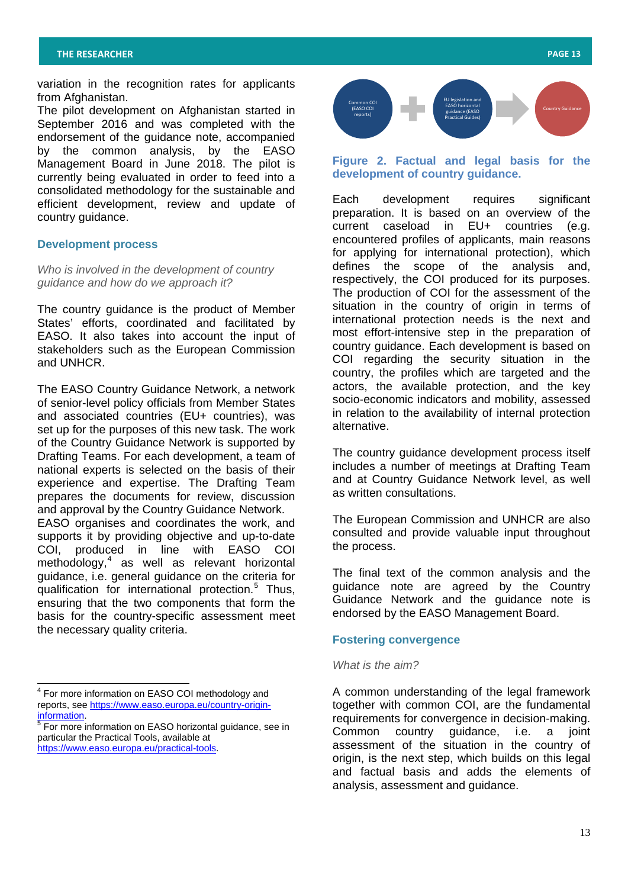variation in the recognition rates for applicants from Afghanistan.

The pilot development on Afghanistan started in September 2016 and was completed with the endorsement of the guidance note, accompanied by the common analysis, by the EASO Management Board in June 2018. The pilot is currently being evaluated in order to feed into a consolidated methodology for the sustainable and efficient development, review and update of country guidance.

## **Development process**

*Who is involved in the development of country guidance and how do we approach it?*

The country guidance is the product of Member States' efforts, coordinated and facilitated by EASO. It also takes into account the input of stakeholders such as the European Commission and UNHCR.

The EASO Country Guidance Network, a network of senior-level policy officials from Member States and associated countries (EU+ countries), was set up for the purposes of this new task. The work of the Country Guidance Network is supported by Drafting Teams. For each development, a team of national experts is selected on the basis of their experience and expertise. The Drafting Team prepares the documents for review, discussion and approval by the Country Guidance Network. EASO organises and coordinates the work, and supports it by providing objective and up-to-date

COI, produced in line with EASO COI methodology,<sup>[4](#page-12-0)</sup> as well as relevant horizontal guidance, i.e. general guidance on the criteria for qualification for international protection.<sup>[5](#page-12-0)</sup> Thus, ensuring that the two components that form the basis for the country-specific assessment meet the necessary quality criteria.



# **Figure 2. Factual and legal basis for the development of country guidance.**

Each development requires significant preparation. It is based on an overview of the current caseload in EU+ countries (e.g. encountered profiles of applicants, main reasons for applying for international protection), which defines the scope of the analysis and, respectively, the COI produced for its purposes. The production of COI for the assessment of the situation in the country of origin in terms of international protection needs is the next and most effort-intensive step in the preparation of country guidance. Each development is based on COI regarding the security situation in the country, the profiles which are targeted and the actors, the available protection, and the key socio-economic indicators and mobility, assessed in relation to the availability of internal protection alternative.

The country guidance development process itself includes a number of meetings at Drafting Team and at Country Guidance Network level, as well as written consultations.

The European Commission and UNHCR are also consulted and provide valuable input throughout the process.

The final text of the common analysis and the guidance note are agreed by the Country Guidance Network and the guidance note is endorsed by the EASO Management Board.

# **Fostering convergence**

## *What is the aim?*

A common understanding of the legal framework together with common COI, are the fundamental requirements for convergence in decision-making. Common country guidance, i.e. a joint assessment of the situation in the country of origin, is the next step, which builds on this legal and factual basis and adds the elements of analysis, assessment and guidance.

<span id="page-12-0"></span><sup>4</sup> For more information on EASO COI methodology and reports, see <u>https://www.easo.europa.eu/country-origin-</u> [information.](https://www.easo.europa.eu/country-origin-information)<br><sup>[5](https://www.easo.europa.eu/country-origin-information)</sup> For more information on EASO horizontal guidance, see in

particular the Practical Tools, available at [https://www.easo.europa.eu/practical-tools.](https://www.easo.europa.eu/practical-tools)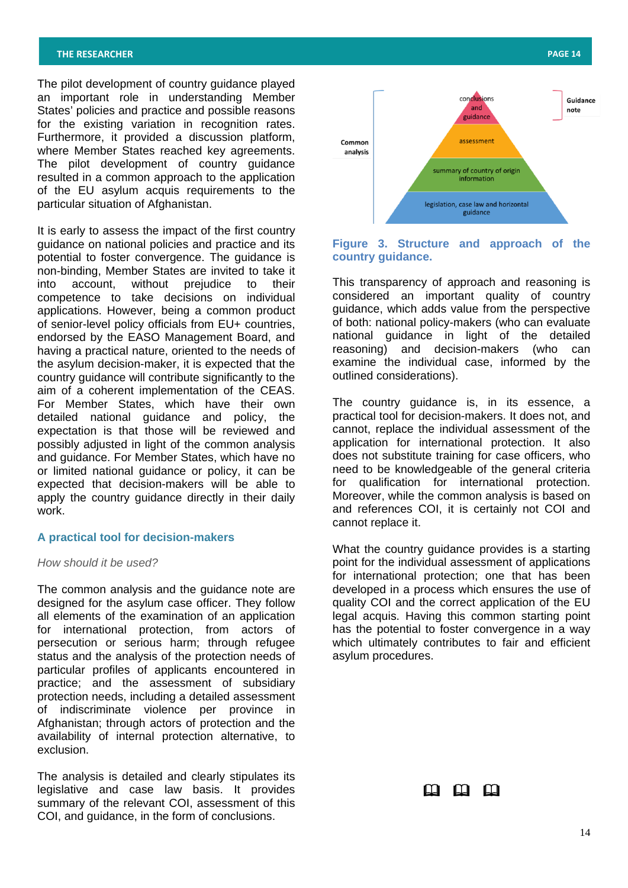The pilot development of country guidance played an important role in understanding Member States' policies and practice and possible reasons for the existing variation in recognition rates. Furthermore, it provided a discussion platform, where Member States reached key agreements. The pilot development of country guidance resulted in a common approach to the application of the EU asylum acquis requirements to the particular situation of Afghanistan.

It is early to assess the impact of the first country guidance on national policies and practice and its potential to foster convergence. The guidance is non-binding, Member States are invited to take it into account, without prejudice to their competence to take decisions on individual applications. However, being a common product of senior-level policy officials from EU+ countries, endorsed by the EASO Management Board, and having a practical nature, oriented to the needs of the asylum decision-maker, it is expected that the country guidance will contribute significantly to the aim of a coherent implementation of the CEAS. For Member States, which have their own detailed national guidance and policy, the expectation is that those will be reviewed and possibly adjusted in light of the common analysis and guidance. For Member States, which have no or limited national guidance or policy, it can be expected that decision-makers will be able to apply the country guidance directly in their daily work.

## **A practical tool for decision-makers**

*How should it be used?*

The common analysis and the guidance note are designed for the asylum case officer. They follow all elements of the examination of an application for international protection, from actors of persecution or serious harm; through refugee status and the analysis of the protection needs of particular profiles of applicants encountered in practice; and the assessment of subsidiary protection needs, including a detailed assessment of indiscriminate violence per province in Afghanistan; through actors of protection and the availability of internal protection alternative, to exclusion.

The analysis is detailed and clearly stipulates its legislative and case law basis. It provides summary of the relevant COI, assessment of this COI, and guidance, in the form of conclusions.



## **Figure 3. Structure and approach of the country guidance.**

This transparency of approach and reasoning is considered an important quality of country guidance, which adds value from the perspective of both: national policy-makers (who can evaluate national guidance in light of the detailed reasoning) and decision-makers (who can examine the individual case, informed by the outlined considerations).

The country guidance is, in its essence, a practical tool for decision-makers. It does not, and cannot, replace the individual assessment of the application for international protection. It also does not substitute training for case officers, who need to be knowledgeable of the general criteria for qualification for international protection. Moreover, while the common analysis is based on and references COI, it is certainly not COI and cannot replace it.

What the country guidance provides is a starting point for the individual assessment of applications for international protection; one that has been developed in a process which ensures the use of quality COI and the correct application of the EU legal acquis. Having this common starting point has the potential to foster convergence in a way which ultimately contributes to fair and efficient asylum procedures.

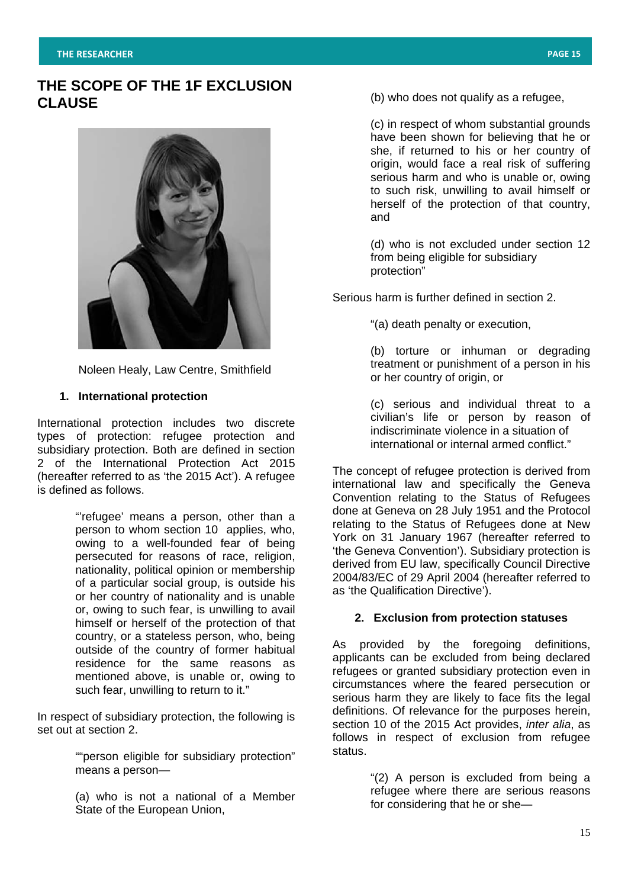# **THE SCOPE OF THE 1F EXCLUSION CLAUSE**



Noleen Healy, Law Centre, Smithfield

# **1. International protection**

International protection includes two discrete types of protection: refugee protection and subsidiary protection. Both are defined in section 2 of the International Protection Act 2015 (hereafter referred to as 'the 2015 Act'). A refugee is defined as follows.

> "'refugee' means a person, other than a person to whom section 10 applies, who, owing to a well-founded fear of being persecuted for reasons of race, religion, nationality, political opinion or membership of a particular social group, is outside his or her country of nationality and is unable or, owing to such fear, is unwilling to avail himself or herself of the protection of that country, or a stateless person, who, being outside of the country of former habitual residence for the same reasons as mentioned above, is unable or, owing to such fear, unwilling to return to it."

In respect of subsidiary protection, the following is set out at section 2.

> ""person eligible for subsidiary protection" means a person—

> (a) who is not a national of a Member State of the European Union,

(b) who does not qualify as a refugee,

(c) in respect of whom substantial grounds have been shown for believing that he or she, if returned to his or her country of origin, would face a real risk of suffering serious harm and who is unable or, owing to such risk, unwilling to avail himself or herself of the protection of that country, and

(d) who is not excluded under section 12 from being eligible for subsidiary protection"

Serious harm is further defined in section 2.

"(a) death penalty or execution,

(b) torture or inhuman or degrading treatment or punishment of a person in his or her country of origin, or

(c) serious and individual threat to a civilian's life or person by reason of indiscriminate violence in a situation of international or internal armed conflict."

The concept of refugee protection is derived from international law and specifically the Geneva Convention relating to the Status of Refugees done at Geneva on 28 July 1951 and the Protocol relating to the Status of Refugees done at New York on 31 January 1967 (hereafter referred to 'the Geneva Convention'). Subsidiary protection is derived from EU law, specifically Council Directive 2004/83/EC of 29 April 2004 (hereafter referred to as 'the Qualification Directive').

# **2. Exclusion from protection statuses**

As provided by the foregoing definitions, applicants can be excluded from being declared refugees or granted subsidiary protection even in circumstances where the feared persecution or serious harm they are likely to face fits the legal definitions. Of relevance for the purposes herein, section 10 of the 2015 Act provides, *inter alia*, as follows in respect of exclusion from refugee status.

> "(2) A person is excluded from being a refugee where there are serious reasons for considering that he or she—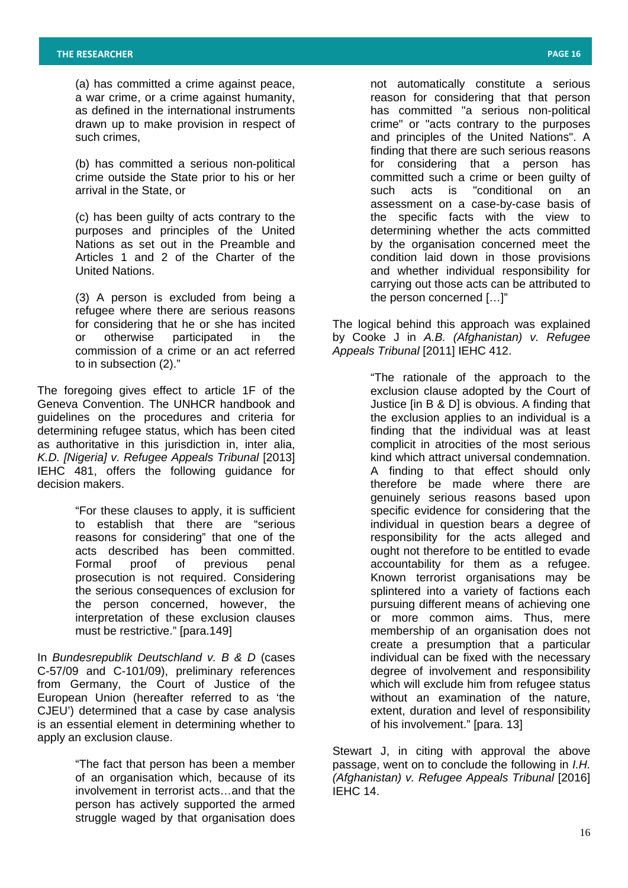(a) has committed a crime against peace, a war crime, or a crime against humanity, as defined in the international instruments drawn up to make provision in respect of such crimes,

(b) has committed a serious non-political crime outside the State prior to his or her arrival in the State, or

(c) has been guilty of acts contrary to the purposes and principles of the United Nations as set out in the Preamble and Articles 1 and 2 of the Charter of the United Nations.

(3) A person is excluded from being a refugee where there are serious reasons for considering that he or she has incited or otherwise participated in the commission of a crime or an act referred to in subsection (2)."

The foregoing gives effect to article 1F of the Geneva Convention. The UNHCR handbook and guidelines on the procedures and criteria for determining refugee status, which has been cited as authoritative in this jurisdiction in, inter alia, *K.D. [Nigeria] v. Refugee Appeals Tribunal* [2013] IEHC 481, offers the following guidance for decision makers.

> "For these clauses to apply, it is sufficient to establish that there are "serious reasons for considering" that one of the acts described has been committed. Formal proof of previous penal prosecution is not required. Considering the serious consequences of exclusion for the person concerned, however, the interpretation of these exclusion clauses must be restrictive." [para.149]

In *Bundesrepublik Deutschland v. B & D* (cases C-57/09 and C-101/09), preliminary references from Germany, the Court of Justice of the European Union (hereafter referred to as 'the CJEU') determined that a case by case analysis is an essential element in determining whether to apply an exclusion clause.

> "The fact that person has been a member of an organisation which, because of its involvement in terrorist acts…and that the person has actively supported the armed struggle waged by that organisation does

not automatically constitute a serious reason for considering that that person has committed "a serious non-political crime" or "acts contrary to the purposes and principles of the United Nations". A finding that there are such serious reasons for considering that a person has committed such a crime or been guilty of<br>such acts is "conditional on an such acts is "conditional on an assessment on a case-by-case basis of the specific facts with the view to determining whether the acts committed by the organisation concerned meet the condition laid down in those provisions and whether individual responsibility for carrying out those acts can be attributed to the person concerned […]"

The logical behind this approach was explained by Cooke J in *A.B. (Afghanistan) v. Refugee Appeals Tribunal* [2011] IEHC 412.

> "The rationale of the approach to the exclusion clause adopted by the Court of Justice [in B & D] is obvious. A finding that the exclusion applies to an individual is a finding that the individual was at least complicit in atrocities of the most serious kind which attract universal condemnation. A finding to that effect should only therefore be made where there are genuinely serious reasons based upon specific evidence for considering that the individual in question bears a degree of responsibility for the acts alleged and ought not therefore to be entitled to evade accountability for them as a refugee. Known terrorist organisations may be splintered into a variety of factions each pursuing different means of achieving one or more common aims. Thus, mere membership of an organisation does not create a presumption that a particular individual can be fixed with the necessary degree of involvement and responsibility which will exclude him from refugee status without an examination of the nature, extent, duration and level of responsibility of his involvement." [para. 13]

Stewart J, in citing with approval the above passage, went on to conclude the following in *I.H. (Afghanistan) v. Refugee Appeals Tribunal* [2016] IEHC 14.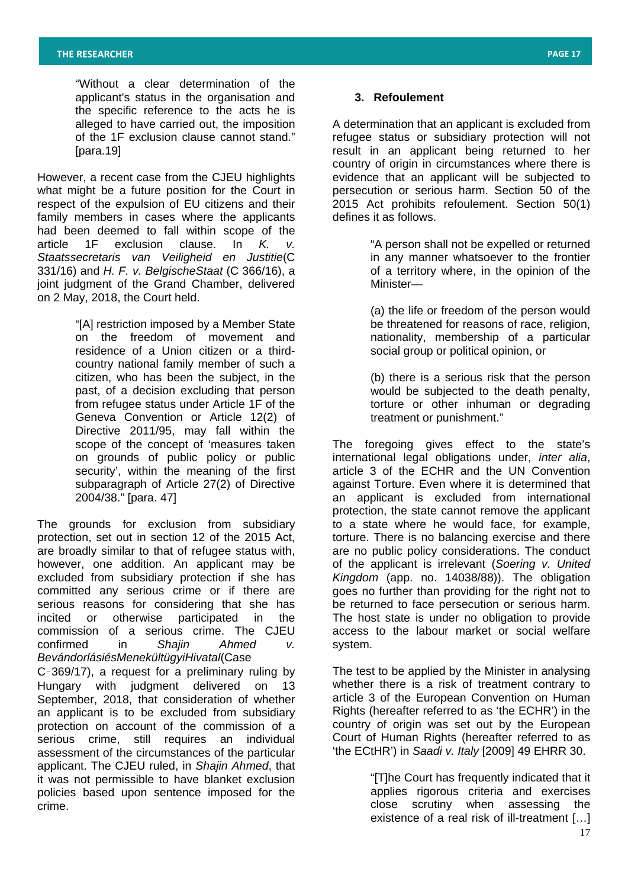"Without a clear determination of the applicant's status in the organisation and the specific reference to the acts he is alleged to have carried out, the imposition of the 1F exclusion clause cannot stand." [para.19]

However, a recent case from the CJEU highlights what might be a future position for the Court in respect of the expulsion of EU citizens and their family members in cases where the applicants had been deemed to fall within scope of the article 1F exclusion clause. In *K. v. Staatssecretaris van Veiligheid en Justitie*(C 331/16) and *H. F. v. BelgischeStaat* (C 366/16), a ioint iudament of the Grand Chamber, delivered on 2 May, 2018, the Court held.

> "[A] restriction imposed by a Member State on the freedom of movement and residence of a Union citizen or a thirdcountry national family member of such a citizen, who has been the subject, in the past, of a decision excluding that person from refugee status under Article 1F of the Geneva Convention or Article 12(2) of Directive 2011/95, may fall within the scope of the concept of 'measures taken on grounds of public policy or public security', within the meaning of the first subparagraph of Article 27(2) of Directive 2004/38." [para. 47]

The grounds for exclusion from subsidiary protection, set out in section 12 of the 2015 Act, are broadly similar to that of refugee status with, however, one addition. An applicant may be excluded from subsidiary protection if she has committed any serious crime or if there are serious reasons for considering that she has incited or otherwise participated in the commission of a serious crime. The CJEU confirmed in *Shajin Ahmed v. BevándorlásiésMenekültügyiHivatal*(Case

C‑369/17), a request for a preliminary ruling by Hungary with judgment delivered on 13 September, 2018, that consideration of whether an applicant is to be excluded from subsidiary protection on account of the commission of a serious crime, still requires an individual assessment of the circumstances of the particular applicant. The CJEU ruled, in *Shajin Ahmed*, that it was not permissible to have blanket exclusion policies based upon sentence imposed for the crime.

## **3. Refoulement**

A determination that an applicant is excluded from refugee status or subsidiary protection will not result in an applicant being returned to her country of origin in circumstances where there is evidence that an applicant will be subjected to persecution or serious harm. Section 50 of the 2015 Act prohibits refoulement. Section 50(1) defines it as follows.

> "A person shall not be expelled or returned in any manner whatsoever to the frontier of a territory where, in the opinion of the Minister—

(a) the life or freedom of the person would be threatened for reasons of race, religion, nationality, membership of a particular social group or political opinion, or

(b) there is a serious risk that the person would be subjected to the death penalty, torture or other inhuman or degrading treatment or punishment."

The foregoing gives effect to the state's international legal obligations under, *inter alia*, article 3 of the ECHR and the UN Convention against Torture. Even where it is determined that an applicant is excluded from international protection, the state cannot remove the applicant to a state where he would face, for example, torture. There is no balancing exercise and there are no public policy considerations. The conduct of the applicant is irrelevant (*Soering v. United Kingdom* (app. no. 14038/88)). The obligation goes no further than providing for the right not to be returned to face persecution or serious harm. The host state is under no obligation to provide access to the labour market or social welfare system.

The test to be applied by the Minister in analysing whether there is a risk of treatment contrary to article 3 of the European Convention on Human Rights (hereafter referred to as 'the ECHR') in the country of origin was set out by the European Court of Human Rights (hereafter referred to as 'the ECtHR') in *Saadi v. Italy* [2009] 49 EHRR 30.

> "[T]he Court has frequently indicated that it applies rigorous criteria and exercises close scrutiny when assessing the existence of a real risk of ill-treatment […]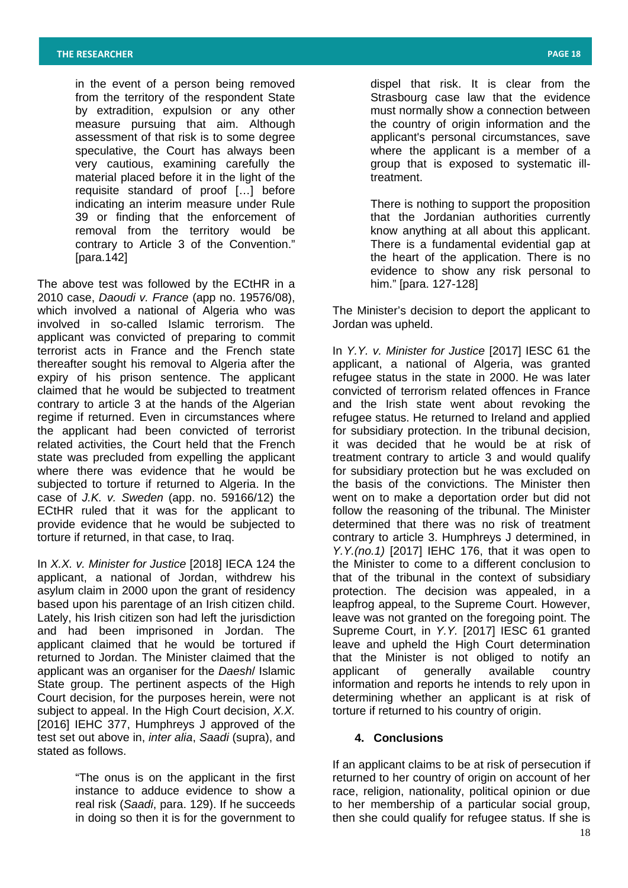in the event of a person being removed from the territory of the respondent State by extradition, expulsion or any other measure pursuing that aim. Although assessment of that risk is to some degree speculative, the Court has always been very cautious, examining carefully the material placed before it in the light of the requisite standard of proof […] before indicating an interim measure under Rule 39 or finding that the enforcement of removal from the territory would be contrary to Article 3 of the Convention." [para.142]

The above test was followed by the ECtHR in a 2010 case, *Daoudi v. France* (app no. 19576/08), which involved a national of Algeria who was involved in so-called Islamic terrorism. The applicant was convicted of preparing to commit terrorist acts in France and the French state thereafter sought his removal to Algeria after the expiry of his prison sentence. The applicant claimed that he would be subjected to treatment contrary to article 3 at the hands of the Algerian regime if returned. Even in circumstances where the applicant had been convicted of terrorist related activities, the Court held that the French state was precluded from expelling the applicant where there was evidence that he would be subjected to torture if returned to Algeria. In the case of *J.K. v. Sweden* (app. no. 59166/12) the ECtHR ruled that it was for the applicant to provide evidence that he would be subjected to torture if returned, in that case, to Iraq.

In *X.X. v. Minister for Justice* [2018] IECA 124 the applicant, a national of Jordan, withdrew his asylum claim in 2000 upon the grant of residency based upon his parentage of an Irish citizen child. Lately, his Irish citizen son had left the jurisdiction and had been imprisoned in Jordan. The applicant claimed that he would be tortured if returned to Jordan. The Minister claimed that the applicant was an organiser for the *Daesh*/ Islamic State group. The pertinent aspects of the High Court decision, for the purposes herein, were not subject to appeal. In the High Court decision, *X.X.*  [2016] IEHC 377, Humphreys J approved of the test set out above in, *inter alia*, *Saadi* (supra), and stated as follows.

> "The onus is on the applicant in the first instance to adduce evidence to show a real risk (*Saadi*, para. 129). If he succeeds in doing so then it is for the government to

dispel that risk. It is clear from the Strasbourg case law that the evidence must normally show a connection between the country of origin information and the applicant's personal circumstances, save where the applicant is a member of a group that is exposed to systematic illtreatment.

There is nothing to support the proposition that the Jordanian authorities currently know anything at all about this applicant. There is a fundamental evidential gap at the heart of the application. There is no evidence to show any risk personal to him." [para. 127-128]

The Minister's decision to deport the applicant to Jordan was upheld.

In *Y.Y. v. Minister for Justice* [2017] IESC 61 the applicant, a national of Algeria, was granted refugee status in the state in 2000. He was later convicted of terrorism related offences in France and the Irish state went about revoking the refugee status. He returned to Ireland and applied for subsidiary protection. In the tribunal decision, it was decided that he would be at risk of treatment contrary to article 3 and would qualify for subsidiary protection but he was excluded on the basis of the convictions. The Minister then went on to make a deportation order but did not follow the reasoning of the tribunal. The Minister determined that there was no risk of treatment contrary to article 3. Humphreys J determined, in *Y.Y.(no.1)* [2017] IEHC 176, that it was open to the Minister to come to a different conclusion to that of the tribunal in the context of subsidiary protection. The decision was appealed, in a leapfrog appeal, to the Supreme Court. However, leave was not granted on the foregoing point. The Supreme Court, in *Y.Y.* [2017] IESC 61 granted leave and upheld the High Court determination that the Minister is not obliged to notify an applicant of generally available country information and reports he intends to rely upon in determining whether an applicant is at risk of torture if returned to his country of origin.

# **4. Conclusions**

If an applicant claims to be at risk of persecution if returned to her country of origin on account of her race, religion, nationality, political opinion or due to her membership of a particular social group, then she could qualify for refugee status. If she is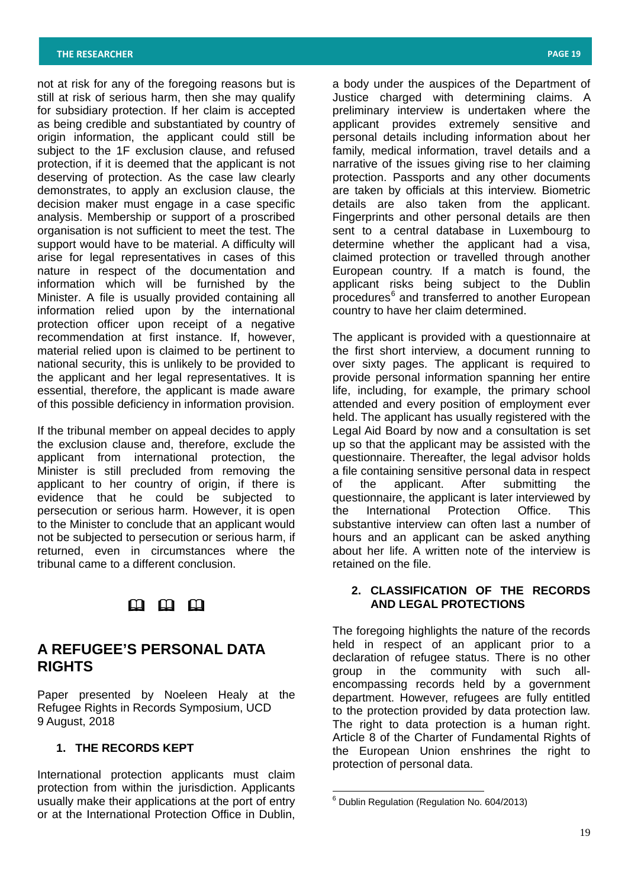not at risk for any of the foregoing reasons but is still at risk of serious harm, then she may qualify for subsidiary protection. If her claim is accepted as being credible and substantiated by country of origin information, the applicant could still be subject to the 1F exclusion clause, and refused protection, if it is deemed that the applicant is not deserving of protection. As the case law clearly demonstrates, to apply an exclusion clause, the decision maker must engage in a case specific analysis. Membership or support of a proscribed organisation is not sufficient to meet the test. The support would have to be material. A difficulty will arise for legal representatives in cases of this nature in respect of the documentation and information which will be furnished by the Minister. A file is usually provided containing all information relied upon by the international protection officer upon receipt of a negative recommendation at first instance. If, however, material relied upon is claimed to be pertinent to national security, this is unlikely to be provided to the applicant and her legal representatives. It is essential, therefore, the applicant is made aware of this possible deficiency in information provision.

If the tribunal member on appeal decides to apply the exclusion clause and, therefore, exclude the applicant from international protection, the Minister is still precluded from removing the applicant to her country of origin, if there is evidence that he could be subjected to persecution or serious harm. However, it is open to the Minister to conclude that an applicant would not be subjected to persecution or serious harm, if returned, even in circumstances where the tribunal came to a different conclusion.

# $\mathfrak{m}$   $\mathfrak{m}$   $\mathfrak{m}$

# **A REFUGEE'S PERSONAL DATA RIGHTS**

Paper presented by Noeleen Healy at the Refugee Rights in Records Symposium, UCD 9 August, 2018

# **1. THE RECORDS KEPT**

<span id="page-18-0"></span>International protection applicants must claim protection from within the jurisdiction. Applicants usually make their applications at the port of entry or at the International Protection Office in Dublin,

a body under the auspices of the Department of Justice charged with determining claims. A preliminary interview is undertaken where the applicant provides extremely sensitive and personal details including information about her family, medical information, travel details and a narrative of the issues giving rise to her claiming protection. Passports and any other documents are taken by officials at this interview. Biometric details are also taken from the applicant. Fingerprints and other personal details are then sent to a central database in Luxembourg to determine whether the applicant had a visa, claimed protection or travelled through another European country. If a match is found, the applicant risks being subject to the Dublin procedures<sup>[6](#page-18-0)</sup> and transferred to another European country to have her claim determined.

The applicant is provided with a questionnaire at the first short interview, a document running to over sixty pages. The applicant is required to provide personal information spanning her entire life, including, for example, the primary school attended and every position of employment ever held. The applicant has usually registered with the Legal Aid Board by now and a consultation is set up so that the applicant may be assisted with the questionnaire. Thereafter, the legal advisor holds a file containing sensitive personal data in respect<br>of the applicant. After submitting the of the applicant. After submitting the questionnaire, the applicant is later interviewed by the International Protection Office. This substantive interview can often last a number of hours and an applicant can be asked anything about her life. A written note of the interview is retained on the file.

# **2. CLASSIFICATION OF THE RECORDS AND LEGAL PROTECTIONS**

The foregoing highlights the nature of the records held in respect of an applicant prior to a declaration of refugee status. There is no other group in the community with such allencompassing records held by a government department. However, refugees are fully entitled to the protection provided by data protection law. The right to data protection is a human right. Article 8 of the Charter of Fundamental Rights of the European Union enshrines the right to protection of personal data.

<sup>6</sup> Dublin Regulation (Regulation No. 604/2013)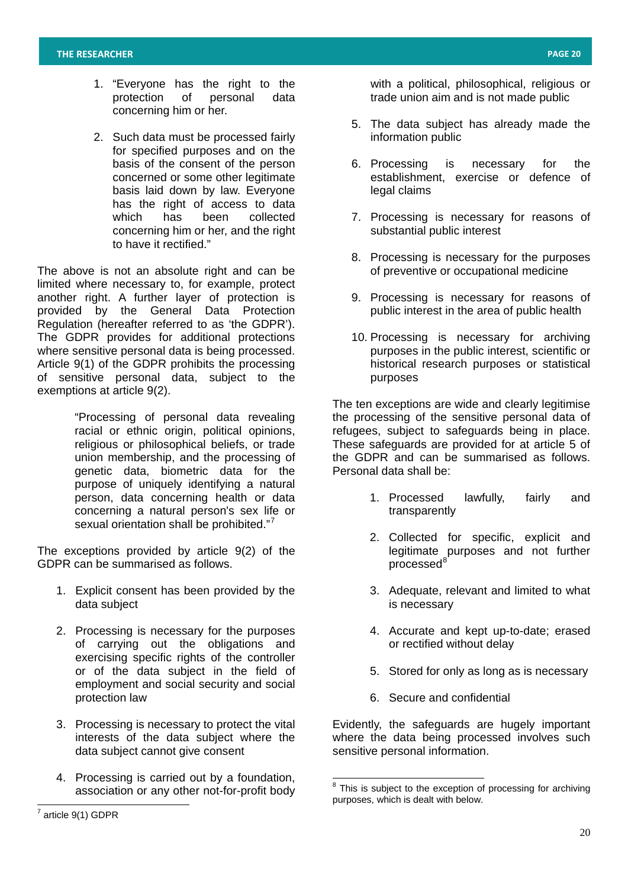- 1. "Everyone has the right to the protection of personal data concerning him or her.
- 2. Such data must be processed fairly for specified purposes and on the basis of the consent of the person concerned or some other legitimate basis laid down by law. Everyone has the right of access to data which has been collected concerning him or her, and the right to have it rectified."

The above is not an absolute right and can be limited where necessary to, for example, protect another right. A further layer of protection is provided by the General Data Protection Regulation (hereafter referred to as 'the GDPR'). The GDPR provides for additional protections where sensitive personal data is being processed. Article 9(1) of the GDPR prohibits the processing of sensitive personal data, subject to the exemptions at article 9(2).

> "Processing of personal data revealing racial or ethnic origin, political opinions, religious or philosophical beliefs, or trade union membership, and the processing of genetic data, biometric data for the purpose of uniquely identifying a natural person, data concerning health or data concerning a natural person's sex life or sexual orientation shall be prohibited."<sup>[7](#page-19-0)</sup>

The exceptions provided by article 9(2) of the GDPR can be summarised as follows.

- 1. Explicit consent has been provided by the data subject
- 2. Processing is necessary for the purposes of carrying out the obligations and exercising specific rights of the controller or of the data subject in the field of employment and social security and social protection law
- 3. Processing is necessary to protect the vital interests of the data subject where the data subject cannot give consent
- 4. Processing is carried out by a foundation, association or any other not-for-profit body
- 5. The data subject has already made the information public
- 6. Processing is necessary for the establishment, exercise or defence of legal claims
- 7. Processing is necessary for reasons of substantial public interest
- 8. Processing is necessary for the purposes of preventive or occupational medicine
- 9. Processing is necessary for reasons of public interest in the area of public health
- 10. Processing is necessary for archiving purposes in the public interest, scientific or historical research purposes or statistical purposes

The ten exceptions are wide and clearly legitimise the processing of the sensitive personal data of refugees, subject to safeguards being in place. These safeguards are provided for at article 5 of the GDPR and can be summarised as follows. Personal data shall be:

- 1. Processed lawfully, fairly and transparently
- 2. Collected for specific, explicit and legitimate purposes and not further processed<sup>[8](#page-19-1)</sup>
- 3. Adequate, relevant and limited to what is necessary
- 4. Accurate and kept up-to-date; erased or rectified without delay
- 5. Stored for only as long as is necessary
- 6. Secure and confidential

Evidently, the safeguards are hugely important where the data being processed involves such sensitive personal information.

with a political, philosophical, religious or trade union aim and is not made public

 $8$  This is subiect to the exception of processing for archiving purposes, which is dealt with below.

<span id="page-19-1"></span><span id="page-19-0"></span>article 9(1) GDPR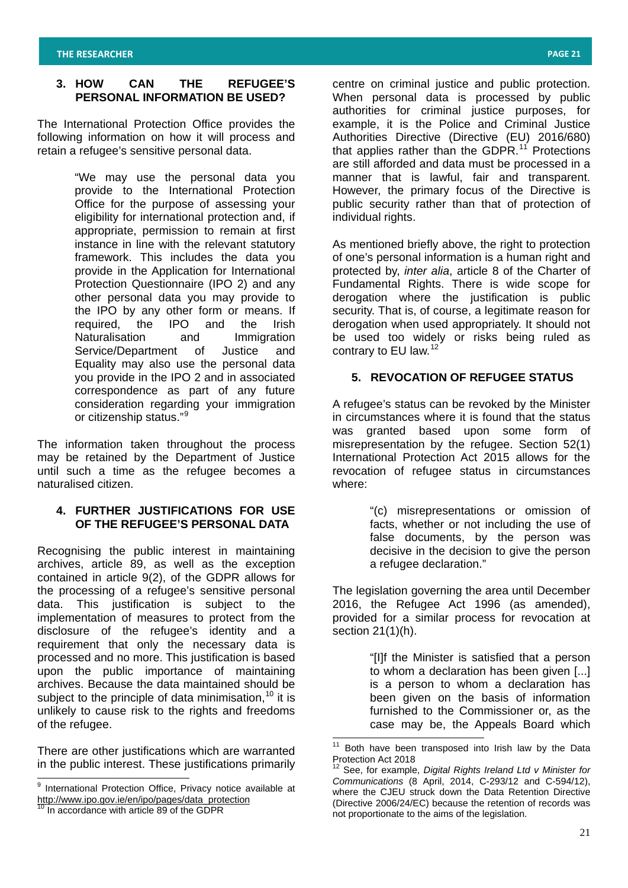# **3. HOW CAN THE REFUGEE'S PERSONAL INFORMATION BE USED?**

The International Protection Office provides the following information on how it will process and retain a refugee's sensitive personal data.

> "We may use the personal data you provide to the International Protection Office for the purpose of assessing your eligibility for international protection and, if appropriate, permission to remain at first instance in line with the relevant statutory framework. This includes the data you provide in the Application for International Protection Questionnaire (IPO 2) and any other personal data you may provide to the IPO by any other form or means. If required, the IPO and the Irish Naturalisation and Immigration Service/Department of Justice and Equality may also use the personal data you provide in the IPO 2 and in associated correspondence as part of any future consideration regarding your immigration or citizenship status."[9](#page-20-0)

The information taken throughout the process may be retained by the Department of Justice until such a time as the refugee becomes a naturalised citizen.

# **4. FURTHER JUSTIFICATIONS FOR USE OF THE REFUGEE'S PERSONAL DATA**

Recognising the public interest in maintaining archives, article 89, as well as the exception contained in article 9(2), of the GDPR allows for the processing of a refugee's sensitive personal data. This justification is subject to the implementation of measures to protect from the disclosure of the refugee's identity and a requirement that only the necessary data is processed and no more. This justification is based upon the public importance of maintaining archives. Because the data maintained should be subject to the principle of data minimisation,  $10$  it is unlikely to cause risk to the rights and freedoms of the refugee.

<span id="page-20-1"></span>There are other justifications which are warranted in the public interest. These justifications primarily

centre on criminal justice and public protection. When personal data is processed by public authorities for criminal justice purposes, for example, it is the Police and Criminal Justice Authorities Directive (Directive (EU) 2016/680) that applies rather than the GDPR.<sup>[11](#page-20-1)</sup> Protections are still afforded and data must be processed in a manner that is lawful, fair and transparent. However, the primary focus of the Directive is public security rather than that of protection of individual rights.

As mentioned briefly above, the right to protection of one's personal information is a human right and protected by, *inter alia*, article 8 of the Charter of Fundamental Rights. There is wide scope for derogation where the justification is public security. That is, of course, a legitimate reason for derogation when used appropriately. It should not be used too widely or risks being ruled as contrary to EU law.<sup>[12](#page-20-1)</sup>

# **5. REVOCATION OF REFUGEE STATUS**

A refugee's status can be revoked by the Minister in circumstances where it is found that the status was granted based upon some form of misrepresentation by the refugee. Section 52(1) International Protection Act 2015 allows for the revocation of refugee status in circumstances where:

> "(c) misrepresentations or omission of facts, whether or not including the use of false documents, by the person was decisive in the decision to give the person a refugee declaration."

The legislation governing the area until December 2016, the Refugee Act 1996 (as amended), provided for a similar process for revocation at section 21(1)(h).

> "[I]f the Minister is satisfied that a person to whom a declaration has been given [...] is a person to whom a declaration has been given on the basis of information furnished to the Commissioner or, as the case may be, the Appeals Board which

<span id="page-20-0"></span><sup>&</sup>lt;sup>9</sup> International Protection Office. Privacy notice available at [http://www.ipo.gov.ie/en/ipo/pages/data\\_protection](http://www.ipo.gov.ie/en/ipo/pages/data_protection)

 $10$  In accordance with article 89 of the GDPR

<sup>&</sup>lt;sup>11</sup> Both have been transposed into Irish law by the Data Protection Act 2018

<sup>12</sup> See, for example, *Digital Rights Ireland Ltd v Minister for Communications* (8 April, 2014, C-293/12 and C-594/12), where the CJEU struck down the Data Retention Directive (Directive 2006/24/EC) because the retention of records was not proportionate to the aims of the legislation.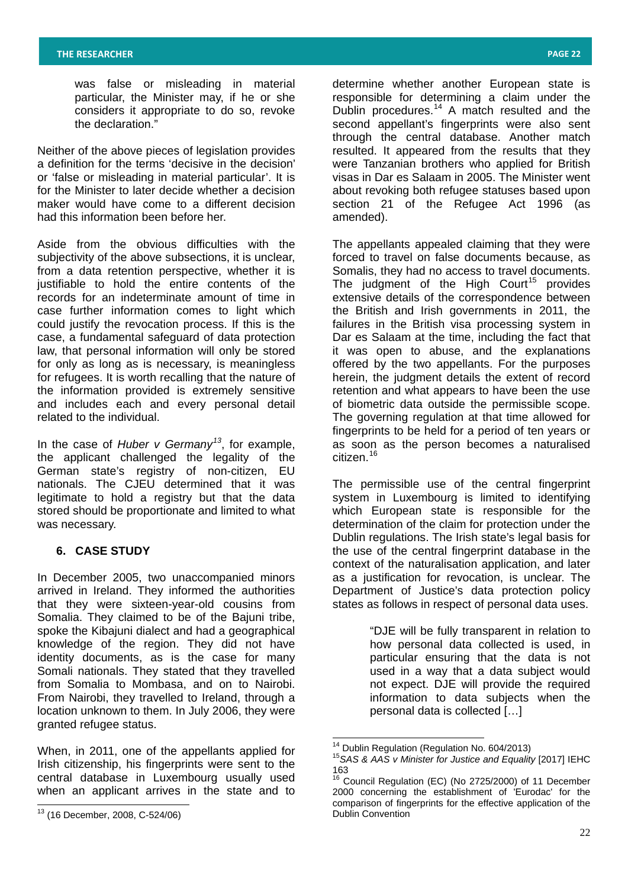was false or misleading in material particular, the Minister may, if he or she considers it appropriate to do so, revoke the declaration."

Neither of the above pieces of legislation provides a definition for the terms 'decisive in the decision' or 'false or misleading in material particular'. It is for the Minister to later decide whether a decision maker would have come to a different decision had this information been before her.

Aside from the obvious difficulties with the subjectivity of the above subsections, it is unclear, from a data retention perspective, whether it is justifiable to hold the entire contents of the records for an indeterminate amount of time in case further information comes to light which could justify the revocation process. If this is the case, a fundamental safeguard of data protection law, that personal information will only be stored for only as long as is necessary, is meaningless for refugees. It is worth recalling that the nature of the information provided is extremely sensitive and includes each and every personal detail related to the individual.

In the case of *Huber v Germany[13](#page-21-0)* , for example, the applicant challenged the legality of the German state's registry of non-citizen, EU nationals. The CJEU determined that it was legitimate to hold a registry but that the data stored should be proportionate and limited to what was necessary.

# **6. CASE STUDY**

In December 2005, two unaccompanied minors arrived in Ireland. They informed the authorities that they were sixteen-year-old cousins from Somalia. They claimed to be of the Bajuni tribe, spoke the Kibajuni dialect and had a geographical knowledge of the region. They did not have identity documents, as is the case for many Somali nationals. They stated that they travelled from Somalia to Mombasa, and on to Nairobi. From Nairobi, they travelled to Ireland, through a location unknown to them. In July 2006, they were granted refugee status.

<span id="page-21-1"></span>When, in 2011, one of the appellants applied for Irish citizenship, his fingerprints were sent to the central database in Luxembourg usually used when an applicant arrives in the state and to

determine whether another European state is responsible for determining a claim under the Dublin procedures.<sup>[14](#page-21-1)</sup> A match resulted and the second appellant's fingerprints were also sent through the central database. Another match resulted. It appeared from the results that they were Tanzanian brothers who applied for British visas in Dar es Salaam in 2005. The Minister went about revoking both refugee statuses based upon section 21 of the Refugee Act 1996 (as amended).

The appellants appealed claiming that they were forced to travel on false documents because, as Somalis, they had no access to travel documents. The judgment of the High Court<sup>[15](#page-21-1)</sup> provides extensive details of the correspondence between the British and Irish governments in 2011, the failures in the British visa processing system in Dar es Salaam at the time, including the fact that it was open to abuse, and the explanations offered by the two appellants. For the purposes herein, the judgment details the extent of record retention and what appears to have been the use of biometric data outside the permissible scope. The governing regulation at that time allowed for fingerprints to be held for a period of ten years or as soon as the person becomes a naturalised citizen.[16](#page-21-1)

The permissible use of the central fingerprint system in Luxembourg is limited to identifying which European state is responsible for the determination of the claim for protection under the Dublin regulations. The Irish state's legal basis for the use of the central fingerprint database in the context of the naturalisation application, and later as a justification for revocation, is unclear. The Department of Justice's data protection policy states as follows in respect of personal data uses.

> "DJE will be fully transparent in relation to how personal data collected is used, in particular ensuring that the data is not used in a way that a data subject would not expect. DJE will provide the required information to data subjects when the personal data is collected […]

<span id="page-21-0"></span><sup>13</sup> (16 December, 2008, C-524/06)

<sup>&</sup>lt;sup>14</sup> Dublin Regulation (Regulation No. 604/2013)<br><sup>15</sup>SAS & AAS v Minister for Justice and Equality [2017] IEHC 163

<sup>&</sup>lt;sup>16</sup> Council Regulation (EC) (No 2725/2000) of 11 December 2000 concerning the establishment of 'Eurodac' for the comparison of fingerprints for the effective application of the Dublin Convention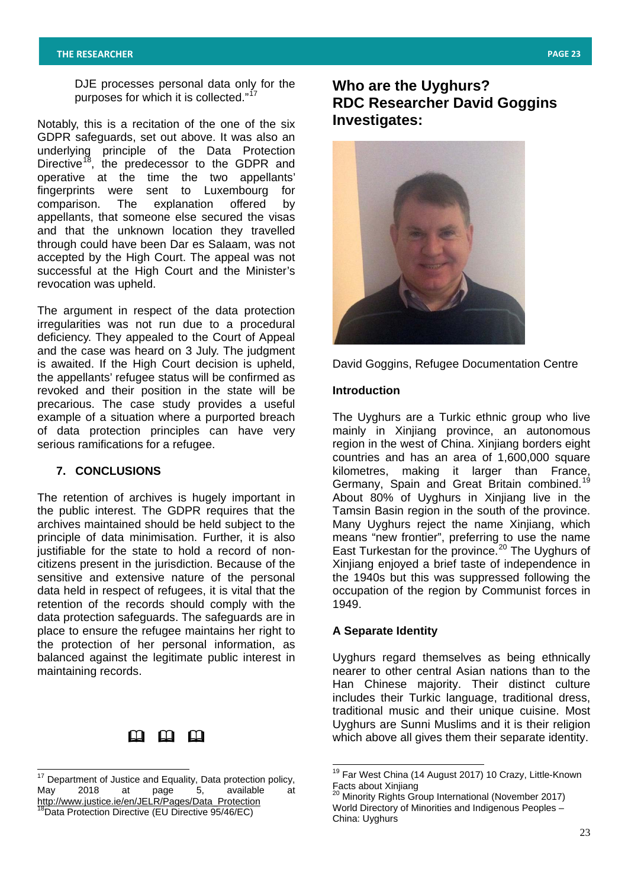DJE processes personal data only for the purposes for which it is collected."<sup>[17](#page-22-0)</sup>

Notably, this is a recitation of the one of the six GDPR safeguards, set out above. It was also an underlying principle of the Data Protection Directive<sup>[18](#page-22-0)</sup>, the predecessor to the GDPR and operative at the time the two appellants' fingerprints were sent to Luxembourg for comparison. The explanation offered by appellants, that someone else secured the visas and that the unknown location they travelled through could have been Dar es Salaam, was not accepted by the High Court. The appeal was not successful at the High Court and the Minister's revocation was upheld.

The argument in respect of the data protection irregularities was not run due to a procedural deficiency. They appealed to the Court of Appeal and the case was heard on 3 July. The judgment is awaited. If the High Court decision is upheld, the appellants' refugee status will be confirmed as revoked and their position in the state will be precarious. The case study provides a useful example of a situation where a purported breach of data protection principles can have very serious ramifications for a refugee.

# **7. CONCLUSIONS**

The retention of archives is hugely important in the public interest. The GDPR requires that the archives maintained should be held subject to the principle of data minimisation. Further, it is also justifiable for the state to hold a record of noncitizens present in the jurisdiction. Because of the sensitive and extensive nature of the personal data held in respect of refugees, it is vital that the retention of the records should comply with the data protection safeguards. The safeguards are in place to ensure the refugee maintains her right to the protection of her personal information, as balanced against the legitimate public interest in maintaining records.

# മ മ മ

# **Who are the Uyghurs? RDC Researcher David Goggins Investigates:**



David Goggins, Refugee Documentation Centre

#### **Introduction**

The Uyghurs are a Turkic ethnic group who live mainly in Xinjiang province, an autonomous region in the west of China. Xinjiang borders eight countries and has an area of 1,600,000 square kilometres, making it larger than France, Germany, Spain and Great Britain combined.<sup>[19](#page-22-1)</sup> About 80% of Uyghurs in Xinjiang live in the Tamsin Basin region in the south of the province. Many Uyghurs reject the name Xinjiang, which means "new frontier", preferring to use the name East Turkestan for the province.<sup>[20](#page-22-1)</sup> The Uyghurs of Xinjiang enjoyed a brief taste of independence in the 1940s but this was suppressed following the occupation of the region by Communist forces in 1949.

# **A Separate Identity**

Uyghurs regard themselves as being ethnically nearer to other central Asian nations than to the Han Chinese majority. Their distinct culture includes their Turkic language, traditional dress, traditional music and their unique cuisine. Most Uyghurs are Sunni Muslims and it is their religion which above all gives them their separate identity.

<span id="page-22-1"></span><span id="page-22-0"></span><sup>&</sup>lt;sup>17</sup> Department of Justice and Equality, Data protection policy, May 2018 at page 5, available at [http://www.justice.ie/en/JELR/Pages/Data\\_Protection](http://www.justice.ie/en/JELR/Pages/Data_Protection) <sup>8</sup>Data Protection Directive (EU Directive 95/46/EC)

<sup>&</sup>lt;sup>19</sup> Far West China (14 August 2017) 10 Crazy, Little-Known Facts about Xinjiang

<sup>&</sup>lt;sup>20</sup> Minority Rights Group International (November 2017) World Directory of Minorities and Indigenous Peoples – China: Uyghurs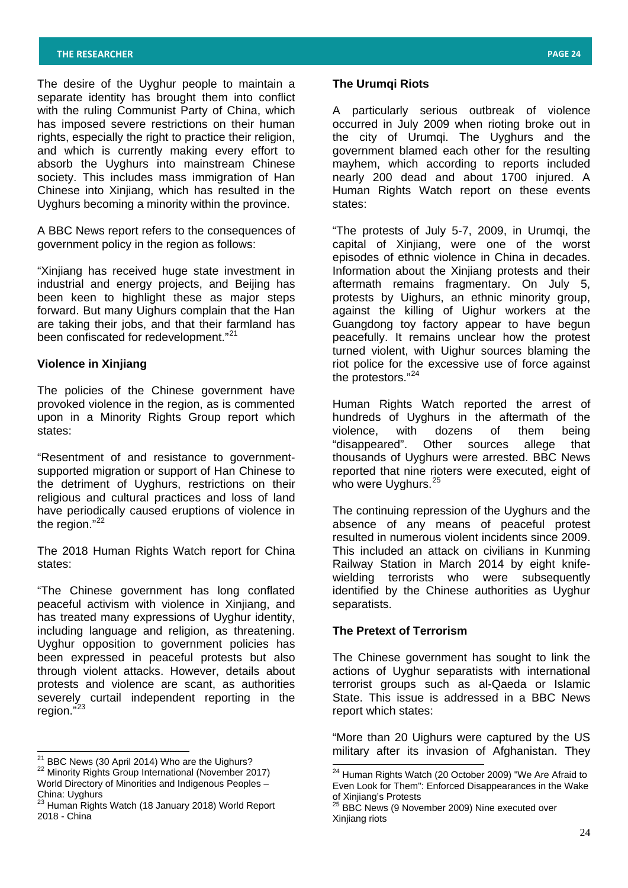The desire of the Uyghur people to maintain a separate identity has brought them into conflict with the ruling Communist Party of China, which has imposed severe restrictions on their human rights, especially the right to practice their religion, and which is currently making every effort to absorb the Uyghurs into mainstream Chinese society. This includes mass immigration of Han Chinese into Xinjiang, which has resulted in the Uyghurs becoming a minority within the province.

A BBC News report refers to the consequences of government policy in the region as follows:

"Xinjiang has received huge state investment in industrial and energy projects, and Beijing has been keen to highlight these as major steps forward. But many Uighurs complain that the Han are taking their jobs, and that their farmland has been confiscated for redevelopment."<sup>[21](#page-23-0)</sup>

# **Violence in Xinjiang**

The policies of the Chinese government have provoked violence in the region, as is commented upon in a Minority Rights Group report which states:

"Resentment of and resistance to governmentsupported migration or support of Han Chinese to the detriment of Uyghurs, restrictions on their religious and cultural practices and loss of land have periodically caused eruptions of violence in the region." [22](#page-23-0)

The 2018 Human Rights Watch report for China states:

"The Chinese government has long conflated peaceful activism with violence in Xinjiang, and has treated many expressions of Uyghur identity, including language and religion, as threatening. Uyghur opposition to government policies has been expressed in peaceful protests but also through violent attacks. However, details about protests and violence are scant, as authorities severely curtail independent reporting in the region."<sup>[23](#page-23-0)</sup>

## **The Urumqi Riots**

A particularly serious outbreak of violence occurred in July 2009 when rioting broke out in the city of Urumqi. The Uyghurs and the government blamed each other for the resulting mayhem, which according to reports included nearly 200 dead and about 1700 injured. A Human Rights Watch report on these events states:

"The protests of July 5-7, 2009, in Urumqi, the capital of Xinjiang, were one of the worst episodes of ethnic violence in China in decades. Information about the Xinjiang protests and their aftermath remains fragmentary. On July 5, protests by Uighurs, an ethnic minority group, against the killing of Uighur workers at the Guangdong toy factory appear to have begun peacefully. It remains unclear how the protest turned violent, with Uighur sources blaming the riot police for the excessive use of force against the protestors."[24](#page-23-1)

Human Rights Watch reported the arrest of hundreds of Uyghurs in the aftermath of the violence, with dozens of them being "disappeared". Other sources allege that thousands of Uyghurs were arrested. BBC News reported that nine rioters were executed, eight of who were Uyghurs.<sup>[25](#page-23-1)</sup>

The continuing repression of the Uyghurs and the absence of any means of peaceful protest resulted in numerous violent incidents since 2009. This included an attack on civilians in Kunming Railway Station in March 2014 by eight knifewielding terrorists who were subsequently identified by the Chinese authorities as Uyghur separatists.

# **The Pretext of Terrorism**

The Chinese government has sought to link the actions of Uyghur separatists with international terrorist groups such as al-Qaeda or Islamic State. This issue is addressed in a BBC News report which states:

"More than 20 Uighurs were captured by the US military after its invasion of Afghanistan. They

<span id="page-23-1"></span>

<span id="page-23-0"></span><sup>&</sup>lt;sup>21</sup> BBC News (30 April 2014) Who are the Uighurs?<br><sup>22</sup> Minority Rights Group International (November 2017) World Directory of Minorities and Indigenous Peoples – China: Uyghurs

<sup>&</sup>lt;sup>23</sup> Human Rights Watch (18 January 2018) World Report 2018 - China

<sup>24</sup> Human Rights Watch (20 October 2009) "We Are Afraid to Even Look for Them": Enforced Disappearances in the Wake of Xinjiang's Protests

 $25$  BBC News (9 November 2009) Nine executed over Xinjiang riots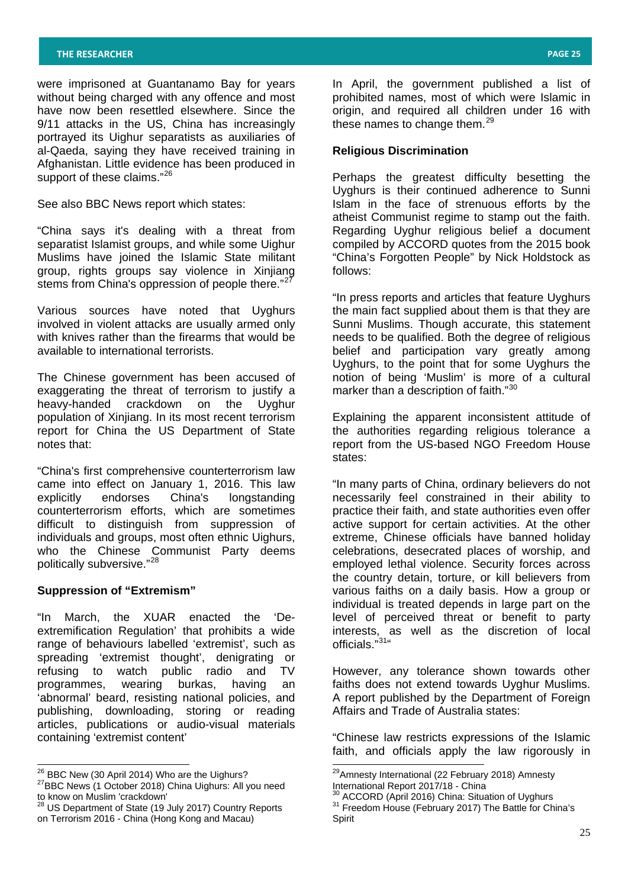were imprisoned at Guantanamo Bay for years without being charged with any offence and most have now been resettled elsewhere. Since the 9/11 attacks in the US, China has increasingly portrayed its Uighur separatists as auxiliaries of al-Qaeda, saying they have received training in Afghanistan. Little evidence has been produced in support of these claims."<sup>[26](#page-24-0)</sup>

See also BBC News report which states:

"China says it's dealing with a threat from separatist Islamist groups, and while some Uighur Muslims have joined the Islamic State militant group, rights groups say violence in Xinjiang stems from China's oppression of people there."<sup>[27](#page-24-0)</sup>

Various sources have noted that Uyghurs involved in violent attacks are usually armed only with knives rather than the firearms that would be available to international terrorists.

The Chinese government has been accused of exaggerating the threat of terrorism to justify a heavy-handed crackdown on the Uyghur population of Xinjiang. In its most recent terrorism report for China the US Department of State notes that:

"China's first comprehensive counterterrorism law came into effect on January 1, 2016. This law explicitly endorses China's longstanding counterterrorism efforts, which are sometimes difficult to distinguish from suppression of individuals and groups, most often ethnic Uighurs, who the Chinese Communist Party deems politically subversive." [28](#page-24-0)

## **Suppression of "Extremism"**

"In March, the XUAR enacted the 'Deextremification Regulation' that prohibits a wide range of behaviours labelled 'extremist', such as spreading 'extremist thought', denigrating or refusing to watch public radio and TV programmes, wearing burkas, having an 'abnormal' beard, resisting national policies, and publishing, downloading, storing or reading articles, publications or audio-visual materials containing 'extremist content'

In April, the government published a list of prohibited names, most of which were Islamic in origin, and required all children under 16 with these names to change them.<sup>[29](#page-24-0)</sup>

#### **Religious Discrimination**

Perhaps the greatest difficulty besetting the Uyghurs is their continued adherence to Sunni Islam in the face of strenuous efforts by the atheist Communist regime to stamp out the faith. Regarding Uyghur religious belief a document compiled by ACCORD quotes from the 2015 book "China's Forgotten People" by Nick Holdstock as follows:

"In press reports and articles that feature Uyghurs the main fact supplied about them is that they are Sunni Muslims. Though accurate, this statement needs to be qualified. Both the degree of religious belief and participation vary greatly among Uyghurs, to the point that for some Uyghurs the notion of being 'Muslim' is more of a cultural marker than a description of faith."<sup>[30](#page-24-0)</sup>

Explaining the apparent inconsistent attitude of the authorities regarding religious tolerance a report from the US-based NGO Freedom House states:

"In many parts of China, ordinary believers do not necessarily feel constrained in their ability to practice their faith, and state authorities even offer active support for certain activities. At the other extreme, Chinese officials have banned holiday celebrations, desecrated places of worship, and employed lethal violence. Security forces across the country detain, torture, or kill believers from various faiths on a daily basis. How a group or individual is treated depends in large part on the level of perceived threat or benefit to party interests, as well as the discretion of local officials."<sup>[31](#page-24-0)</sup>"

However, any tolerance shown towards other faiths does not extend towards Uyghur Muslims. A report published by the Department of Foreign Affairs and Trade of Australia states:

"Chinese law restricts expressions of the Islamic faith, and officials apply the law rigorously in

<span id="page-24-0"></span> $^{26}$  BBC New (30 April 2014) Who are the Uighurs?<br><sup>27</sup>BBC News (1 October 2018) China Uighurs: All you need to know on Muslim 'crackdown'

<sup>28</sup> US Department of State (19 July 2017) Country Reports on Terrorism 2016 - China (Hong Kong and Macau)

<sup>&</sup>lt;sup>29</sup> Amnesty International (22 February 2018) Amnesty International Report 2017/18 - China

 $\frac{30}{31}$  ACCORD (April 2016) China: Situation of Uyghurs  $\frac{31}{1}$  Freedom House (February 2017) The Battle for China's Spirit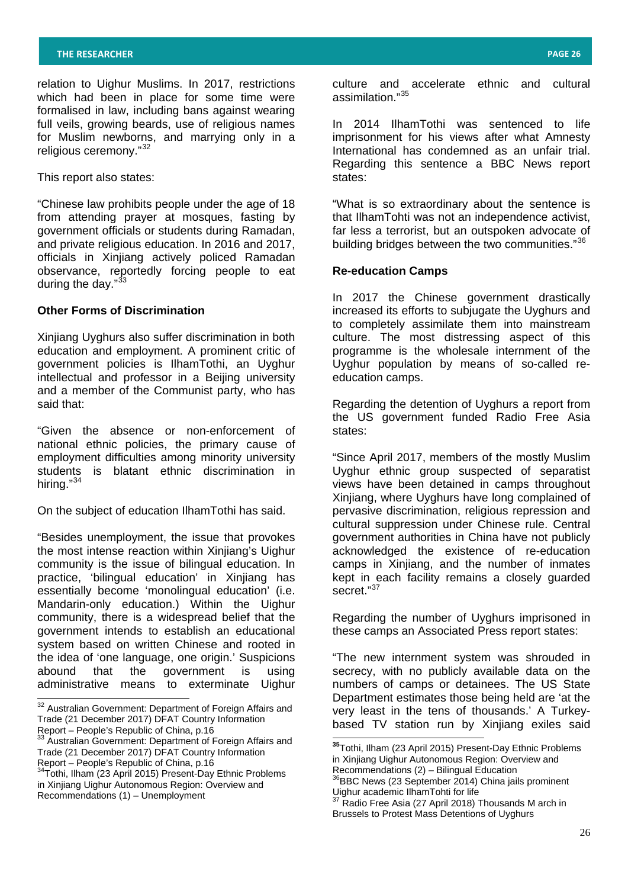relation to Uighur Muslims. In 2017, restrictions which had been in place for some time were formalised in law, including bans against wearing full veils, growing beards, use of religious names for Muslim newborns, and marrying only in a religious ceremony."[32](#page-25-0)

This report also states:

"Chinese law prohibits people under the age of 18 from attending prayer at mosques, fasting by government officials or students during Ramadan, and private religious education. In 2016 and 2017, officials in Xinjiang actively policed Ramadan observance, reportedly forcing people to eat during the day."<sup>[33](#page-25-0)</sup>

## **Other Forms of Discrimination**

Xinjiang Uyghurs also suffer discrimination in both education and employment. A prominent critic of government policies is IlhamTothi, an Uyghur intellectual and professor in a Beijing university and a member of the Communist party, who has said that:

"Given the absence or non-enforcement of national ethnic policies, the primary cause of employment difficulties among minority university students is blatant ethnic discrimination in hiring."<sup>[34](#page-25-0)</sup>

On the subject of education IlhamTothi has said.

"Besides unemployment, the issue that provokes the most intense reaction within Xinjiang's Uighur community is the issue of bilingual education. In practice, 'bilingual education' in Xinjiang has essentially become 'monolingual education' (i.e. Mandarin-only education.) Within the Uighur community, there is a widespread belief that the government intends to establish an educational system based on written Chinese and rooted in the idea of 'one language, one origin.' Suspicions abound that the government is using administrative means to exterminate Uighur

culture and accelerate ethnic and cultural assimilation."[35](#page-25-1)

In 2014 IlhamTothi was sentenced to life imprisonment for his views after what Amnesty International has condemned as an unfair trial. Regarding this sentence a BBC News report states:

"What is so extraordinary about the sentence is that IlhamTohti was not an independence activist, far less a terrorist, but an outspoken advocate of building bridges between the two communities."<sup>[36](#page-25-1)</sup>

## **Re-education Camps**

In 2017 the Chinese government drastically increased its efforts to subjugate the Uyghurs and to completely assimilate them into mainstream culture. The most distressing aspect of this programme is the wholesale internment of the Uyghur population by means of so-called reeducation camps.

Regarding the detention of Uyghurs a report from the US government funded Radio Free Asia states:

"Since April 2017, members of the mostly Muslim Uyghur ethnic group suspected of separatist views have been detained in camps throughout Xinjiang, where Uyghurs have long complained of pervasive discrimination, religious repression and cultural suppression under Chinese rule. Central government authorities in China have not publicly acknowledged the existence of re-education camps in Xinjiang, and the number of inmates kept in each facility remains a closely guarded secret."<sup>[37](#page-25-1)</sup>

Regarding the number of Uyghurs imprisoned in these camps an Associated Press report states:

"The new internment system was shrouded in secrecy, with no publicly available data on the numbers of camps or detainees. The US State Department estimates those being held are 'at the very least in the tens of thousands.' A Turkeybased TV station run by Xinjiang exiles said

<span id="page-25-0"></span><sup>&</sup>lt;sup>32</sup> Australian Government: Department of Foreign Affairs and Trade (21 December 2017) DFAT Country Information Report – People's Republic of China, p.16<br><sup>33</sup> Australian Government: Department of Foreign Affairs and

<span id="page-25-1"></span>Trade (21 December 2017) DFAT Country Information

Report – People's Republic of China, p.16<br><sup>34</sup>Tothi, Ilham (23 April 2015) Present-Day Ethnic Problems in Xinjiang Uighur Autonomous Region: Overview and Recommendations (1) – Unemployment

**<sup>35</sup>**Tothi, Ilham (23 April 2015) Present-Day Ethnic Problems in Xinjiang Uighur Autonomous Region: Overview and<br>Recommendations (2) – Bilingual Education

Recommendations (23 September 2014) China jails prominent Uighur academic IlhamTohti for life<br> $\frac{37}{2}$  Redia F

Radio Free Asia (27 April 2018) Thousands M arch in Brussels to Protest Mass Detentions of Uyghurs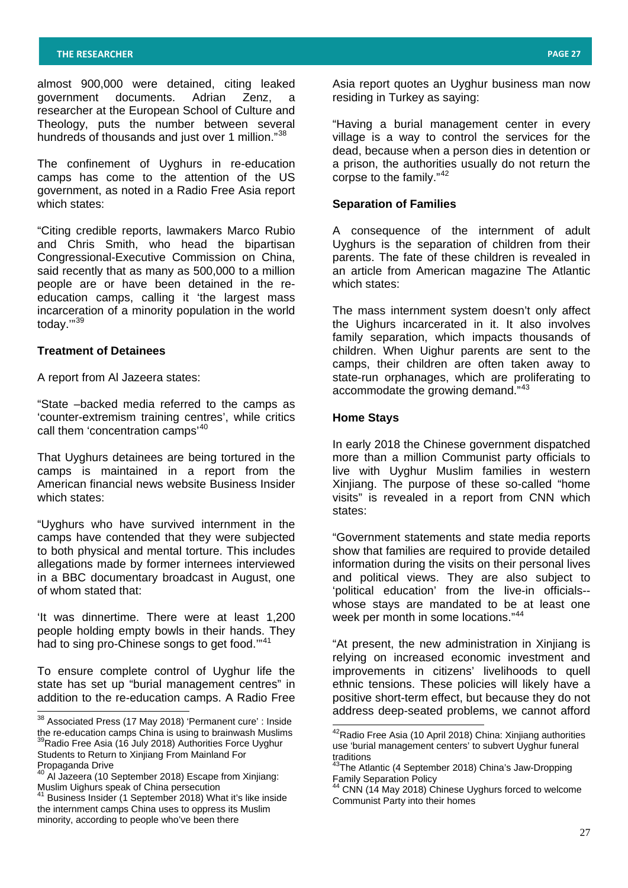almost 900,000 were detained, citing leaked government documents. Adrian Zenz, researcher at the European School of Culture and Theology, puts the number between several hundreds of thousands and just over 1 million."<sup>[38](#page-26-0)</sup>

The confinement of Uyghurs in re-education camps has come to the attention of the US government, as noted in a Radio Free Asia report which states:

"Citing credible reports, lawmakers Marco Rubio and Chris Smith, who head the bipartisan Congressional-Executive Commission on China, said recently that as many as 500,000 to a million people are or have been detained in the reeducation camps, calling it 'the largest mass incarceration of a minority population in the world today.'" [39](#page-26-0)

## **Treatment of Detainees**

A report from Al Jazeera states:

"State –backed media referred to the camps as 'counter-extremism training centres', while critics call them 'concentration camps'<sup>[40](#page-26-0)</sup>

That Uyghurs detainees are being tortured in the camps is maintained in a report from the American financial news website Business Insider which states:

"Uyghurs who have survived internment in the camps have contended that they were subjected to both physical and mental torture. This includes allegations made by former internees interviewed in a BBC documentary broadcast in August, one of whom stated that:

'It was dinnertime. There were at least 1,200 people holding empty bowls in their hands. They had to sing pro-Chinese songs to get food."<sup>[41](#page-26-0)</sup>

To ensure complete control of Uyghur life the state has set up "burial management centres" in addition to the re-education camps. A Radio Free Asia report quotes an Uyghur business man now residing in Turkey as saying:

"Having a burial management center in every village is a way to control the services for the dead, because when a person dies in detention or a prison, the authorities usually do not return the corpse to the family."<sup>[42](#page-26-1)</sup>

## **Separation of Families**

A consequence of the internment of adult Uyghurs is the separation of children from their parents. The fate of these children is revealed in an article from American magazine The Atlantic which states:

The mass internment system doesn't only affect the Uighurs incarcerated in it. It also involves family separation, which impacts thousands of children. When Uighur parents are sent to the camps, their children are often taken away to state-run orphanages, which are proliferating to accommodate the growing demand."<sup>[43](#page-26-1)</sup>

#### **Home Stays**

In early 2018 the Chinese government dispatched more than a million Communist party officials to live with Uyghur Muslim families in western Xinjiang. The purpose of these so-called "home visits" is revealed in a report from CNN which states:

"Government statements and state media reports show that families are required to provide detailed information during the visits on their personal lives and political views. They are also subject to 'political education' from the live-in officials- whose stays are mandated to be at least one week per month in some locations."<sup>[44](#page-26-1)</sup>

"At present, the new administration in Xinjiang is relying on increased economic investment and improvements in citizens' livelihoods to quell ethnic tensions. These policies will likely have a positive short-term effect, but because they do not address deep-seated problems, we cannot afford

<span id="page-26-1"></span><span id="page-26-0"></span> $38$  Associated Press (17 May 2018) 'Permanent cure' : Inside the re-education camps China is using to brainwash Muslims <sup>39</sup>Radio Free Asia (16 July 2018) Authorities Force Uyghur Students to Return to Xinjiang From Mainland For Propaganda Drive

<sup>&</sup>lt;sup>40</sup> Al Jazeera (10 September 2018) Escape from Xinjiang: Muslim Uighurs speak of China persecution<br><sup>41</sup> Business Insider (1 September 2018) What it's like inside

the internment camps China uses to oppress its Muslim minority, according to people who've been there

42Radio Free Asia (10 April 2018) China: Xinjiang authorities use 'burial management centers' to subvert Uyghur funeral traditions

<sup>&</sup>lt;sup>43</sup>The Atlantic (4 September 2018) China's Jaw-Dropping Family Separation Policy

CNN (14 May 2018) Chinese Uyghurs forced to welcome Communist Party into their homes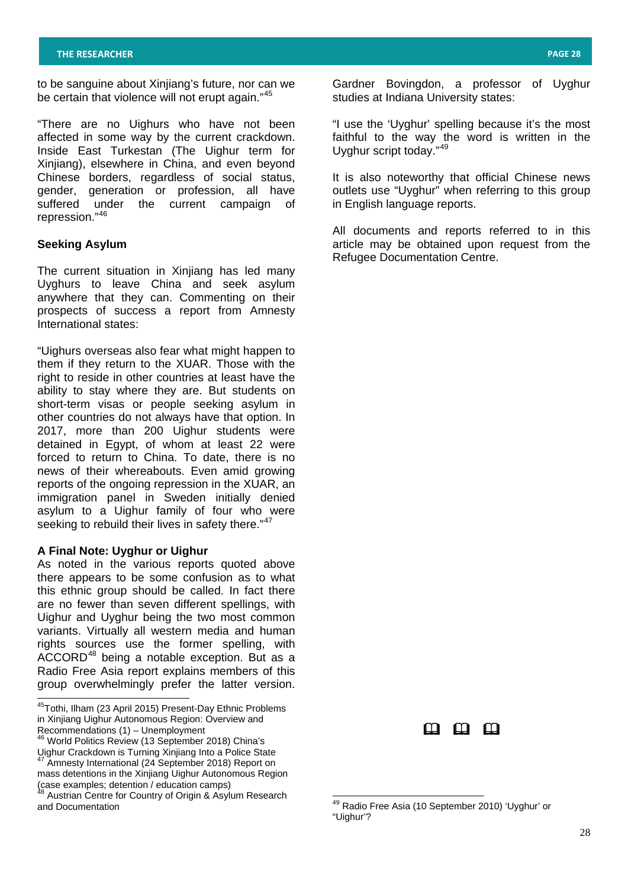to be sanguine about Xinjiang's future, nor can we be certain that violence will not erupt again."<sup>[45](#page-27-0)</sup>

"There are no Uighurs who have not been affected in some way by the current crackdown. Inside East Turkestan (The Uighur term for Xinjiang), elsewhere in China, and even beyond Chinese borders, regardless of social status, gender, generation or profession, all have suffered under the current campaign of repression."[46](#page-27-0)

#### **Seeking Asylum**

The current situation in Xinjiang has led many Uyghurs to leave China and seek asylum anywhere that they can. Commenting on their prospects of success a report from Amnesty International states:

"Uighurs overseas also fear what might happen to them if they return to the XUAR. Those with the right to reside in other countries at least have the ability to stay where they are. But students on short-term visas or people seeking asylum in other countries do not always have that option. In 2017, more than 200 Uighur students were detained in Egypt, of whom at least 22 were forced to return to China. To date, there is no news of their whereabouts. Even amid growing reports of the ongoing repression in the XUAR, an immigration panel in Sweden initially denied asylum to a Uighur family of four who were seeking to rebuild their lives in safety there."<sup>[47](#page-27-0)</sup>

#### **A Final Note: Uyghur or Uighur**

As noted in the various reports quoted above there appears to be some confusion as to what this ethnic group should be called. In fact there are no fewer than seven different spellings, with Uighur and Uyghur being the two most common variants. Virtually all western media and human rights sources use the former spelling, with ACCORD [48](#page-27-0) being a notable exception. But as a Radio Free Asia report explains members of this group overwhelmingly prefer the latter version.

Gardner Bovingdon, a professor of Uyghur studies at Indiana University states:

"I use the 'Uyghur' spelling because it's the most faithful to the way the word is written in the Uyghur script today."[49](#page-27-1)

It is also noteworthy that official Chinese news outlets use "Uyghur" when referring to this group in English language reports.

All documents and reports referred to in this article may be obtained upon request from the Refugee Documentation Centre.



<span id="page-27-0"></span>45Tothi, Ilham (23 April 2015) Present-Day Ethnic Problems in Xinjiang Uighur Autonomous Region: Overview and Recommendations (1) – Unemployment<br>
<sup>46</sup> World Politics Review (13 September 2018) China's

Uighur Crackdown is Turning Xinjiang Into a Police State Amnesty International (24 September 2018) Report on mass detentions in the Xinjiang Uighur Autonomous Region (case examples; detention / education camps)

<span id="page-27-1"></span>Austrian Centre for Country of Origin & Asylum Research and Documentation

<sup>&</sup>lt;sup>49</sup> Radio Free Asia (10 September 2010) 'Uyghur' or "Uighur'?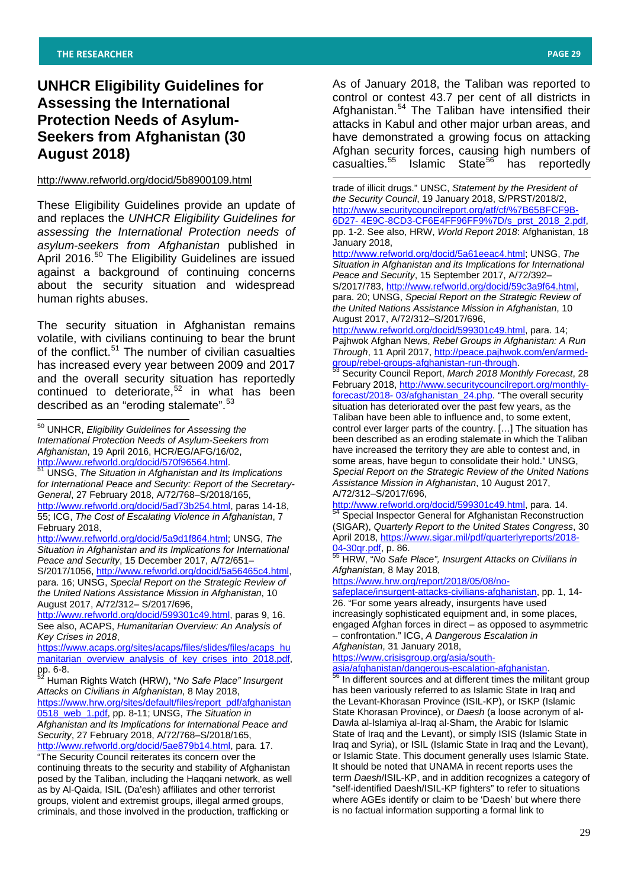# **UNHCR Eligibility Guidelines for Assessing the International Protection Needs of Asylum-Seekers from Afghanistan (30 August 2018)**

#### <span id="page-28-1"></span><http://www.refworld.org/docid/5b8900109.html>

These Eligibility Guidelines provide an update of and replaces the *UNHCR Eligibility Guidelines for assessing the International Protection needs of asylum-seekers from Afghanistan* published in April 2016.<sup>[50](#page-28-0)</sup> The Eligibility Guidelines are issued against a background of continuing concerns about the security situation and widespread human rights abuses.

The security situation in Afghanistan remains volatile, with civilians continuing to bear the brunt of the conflict.<sup>[51](#page-28-0)</sup> The number of civilian casualties has increased every year between 2009 and 2017 and the overall security situation has reportedly continued to deteriorate, $52$  in what has been described as an "eroding stalemate".<sup>[53](#page-28-1)</sup>

[http://www.refworld.org/docid/570f96564.html.](http://www.refworld.org/docid/570f96564.html) <sup>51</sup> UNSG, *The Situation in Afghanistan and Its Implications for International Peace and Security: Report of the Secretary-General*, 27 February 2018, A/72/768–S/2018/165, [http://www.refworld.org/docid/5ad73b254.html,](http://www.refworld.org/docid/5ad73b254.html) paras 14-18, 55; ICG, *The Cost of Escalating Violence in Afghanistan*, 7 February 2018,

[http://www.refworld.org/docid/5a9d1f864.html;](http://www.refworld.org/docid/5a9d1f864.html) UNSG, *The Situation in Afghanistan and its Implications for International Peace and Security*, 15 December 2017, A/72/651–

S/2017/1056, [http://www.refworld.org/docid/5a56465c4.html,](http://www.refworld.org/docid/5a56465c4.html) para. 16; UNSG, *Special Report on the Strategic Review of the United Nations Assistance Mission in Afghanistan*, 10 August 2017, A/72/312– S/2017/696,

[http://www.refworld.org/docid/599301c49.html,](http://www.refworld.org/docid/599301c49.html) paras 9, 16. See also, ACAPS, *Humanitarian Overview: An Analysis of Key Crises in 2018*,

[https://www.acaps.org/sites/acaps/files/slides/files/acaps\\_hu](https://www.acaps.org/sites/acaps/files/slides/files/acaps_humanitarian_overview_analysis_of_key_crises_into_2018.pdf) [manitarian\\_overview\\_analysis\\_of\\_key\\_crises\\_into\\_2018.pdf,](https://www.acaps.org/sites/acaps/files/slides/files/acaps_humanitarian_overview_analysis_of_key_crises_into_2018.pdf)

*Afghanistan and its Implications for International Peace and Security*, 27 February 2018, A/72/768–S/2018/165, [http://www.refworld.org/docid/5ae879b14.html,](http://www.refworld.org/docid/5ae879b14.html) para. 17.

"The Security Council reiterates its concern over the continuing threats to the security and stability of Afghanistan posed by the Taliban, including the Haqqani network, as well as by Al-Qaida, ISIL (Da'esh) affiliates and other terrorist groups, violent and extremist groups, illegal armed groups, criminals, and those involved in the production, trafficking or

As of January 2018, the Taliban was reported to control or contest 43.7 per cent of all districts in Afghanistan.<sup>[54](#page-28-1)</sup> The Taliban have intensified their attacks in Kabul and other major urban areas, and have demonstrated a growing focus on attacking Afghan security forces, causing high numbers of<br>casualties.<sup>55</sup> Islamic State<sup>56</sup> has reportedly Islamic State<sup>[56](#page-28-1)</sup> has reportedly

trade of illicit drugs." UNSC, *Statement by the President of the Security Council*, 19 January 2018, S/PRST/2018/2, http://www.securitycouncilreport.org/atf/cf/%7B65BFCF9B-6D27- 4E9C-8CD3-CF6E4FF96FF9%7D/s\_prst\_2018\_2.pdf, pp. 1-2. See also, HRW, *World Report 2018*: Afghanistan, 18 January 2018,

-

[http://www.refworld.org/docid/5a61eeac4.html;](http://www.refworld.org/docid/5a61eeac4.html) UNSG, *The Situation in Afghanistan and its Implications for International Peace and Security*, 15 September 2017, A/72/392– S/2017/783, [http://www.refworld.org/docid/59c3a9f64.html,](http://www.refworld.org/docid/59c3a9f64.html)

para. 20; UNSG, *Special Report on the Strategic Review of the United Nations Assistance Mission in Afghanistan*, 10 August 2017, A/72/312–S/2017/696,

[http://www.refworld.org/docid/599301c49.html,](http://www.refworld.org/docid/599301c49.html) para. 14; Pajhwok Afghan News, *Rebel Groups in Afghanistan: A Run Through*, 11 April 2017, http://peace.pajhwok.com/en/armed-<br>group/rebel-groups-afghanistan-run-through.<br><sup>53</sup> Contribute:

Security Council Report, March 2018 Monthly Forecast, 28 February 2018, [http://www.securitycouncilreport.org/monthly](http://www.securitycouncilreport.org/monthly-forecast/2018-%2003/afghanistan_24.php)forecast/2018- [03/afghanistan\\_24.php.](http://www.securitycouncilreport.org/monthly-forecast/2018-%2003/afghanistan_24.php) "The overall security

situation has deteriorated over the past few years, as the Taliban have been able to influence and, to some extent, control ever larger parts of the country. […] The situation has been described as an eroding stalemate in which the Taliban have increased the territory they are able to contest and, in some areas, have begun to consolidate their hold." UNSG, *Special Report on the Strategic Review of the United Nations Assistance Mission in Afghanistan*, 10 August 2017, A/72/312–S/2017/696,

[http://www.refworld.org/docid/599301c49.html,](http://www.refworld.org/docid/599301c49.html) para. 14.<br><sup>54</sup> Special Inspector General for Afghanistan Reconstruction (SIGAR), *Quarterly Report to the United States Congress*, 30 April 2018, [https://www.sigar.mil/pdf/quarterlyreports/2018-](https://www.sigar.mil/pdf/quarterlyreports/2018-04-30qr.pdf)

[04-30qr.pdf,](https://www.sigar.mil/pdf/quarterlyreports/2018-04-30qr.pdf) p. 86. <sup>55</sup> HRW, "*No Safe Place", Insurgent Attacks on Civilians in Afghanistan*, 8 May 2018,

[https://www.hrw.org/report/2018/05/08/no-](https://www.hrw.org/report/2018/05/08/no-safeplace/insurgent-attacks-civilians-afghanistan)

# [safeplace/insurgent-attacks-civilians-afghanistan,](https://www.hrw.org/report/2018/05/08/no-safeplace/insurgent-attacks-civilians-afghanistan) pp. 1, 14-

26. "For some years already, insurgents have used increasingly sophisticated equipment and, in some places, engaged Afghan forces in direct – as opposed to asymmetric – confrontation." ICG, *A Dangerous Escalation in Afghanistan*, 31 January 2018,

[https://www.crisisgroup.org/asia/south-](https://www.crisisgroup.org/asia/south-asia/afghanistan/dangerous-escalation-afghanistan)

[asia/afghanistan/dangerous-escalation-afghanistan.](https://www.crisisgroup.org/asia/south-asia/afghanistan/dangerous-escalation-afghanistan)<br>
<sup>56</sup> In different sources and at different times the militant group has been variously referred to as Islamic State in Iraq and the Levant-Khorasan Province (ISIL-KP), or ISKP (Islamic State Khorasan Province), or *Daesh* (a loose acronym of al-Dawla al-Islamiya al-Iraq al-Sham, the Arabic for Islamic State of Iraq and the Levant), or simply ISIS (Islamic State in Iraq and Syria), or ISIL (Islamic State in Iraq and the Levant), or Islamic State. This document generally uses Islamic State. It should be noted that UNAMA in recent reports uses the term *Daesh*/ISIL-KP, and in addition recognizes a category of "self-identified Daesh/ISIL-KP fighters" to refer to situations where AGEs identify or claim to be 'Daesh' but where there is no factual information supporting a formal link to

<span id="page-28-0"></span><sup>50</sup> UNHCR, *Eligibility Guidelines for Assessing the International Protection Needs of Asylum-Seekers from Afghanistan*, 19 April 2016, HCR/EG/AFG/16/02,

pp. 6-8. 52 Human Rights Watch (HRW), "*No Safe Place" Insurgent Attacks on Civilians in Afghanistan*, 8 May 2018, [https://www.hrw.org/sites/default/files/report\\_pdf/afghanistan](https://www.hrw.org/sites/default/files/report_pdf/afghanistan0518_web_1.pdf) [0518\\_web\\_1.pdf,](https://www.hrw.org/sites/default/files/report_pdf/afghanistan0518_web_1.pdf) pp. 8-11; UNSG, *The Situation in*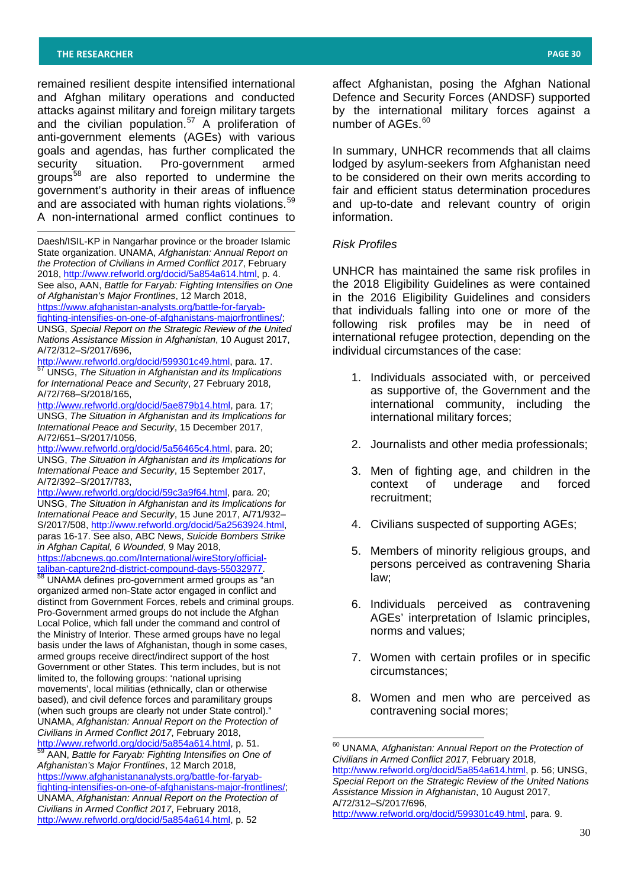-

remained resilient despite intensified international and Afghan military operations and conducted attacks against military and foreign military targets and the civilian population.[57](#page-29-0) A proliferation of anti-government elements (AGEs) with various goals and agendas, has further complicated the security situation. Pro-government armed groups[58](#page-29-1) are also reported to undermine the government's authority in their areas of influence and are associated with human rights violations.<sup>[59](#page-29-1)</sup> A non-international armed conflict continues to

<span id="page-29-1"></span>Daesh/ISIL-KP in Nangarhar province or the broader Islamic State organization. UNAMA, *Afghanistan: Annual Report on the Protection of Civilians in Armed Conflict 2017*, February 2018, <u>http://www.refworld.org/docid/5a854a614.html</u>, p. 4. See also, AAN, *Battle for Faryab: Fighting Intensifies on One of Afghanistan's Major Frontlines*, 12 March 2018, [https://www.afghanistan-analysts.org/battle-for-faryab](https://www.afghanistan-analysts.org/battle-for-faryab-fighting-intensifies-on-one-of-afghanistans-majorfrontlines/)[fighting-intensifies-on-one-of-afghanistans-majorfrontlines/;](https://www.afghanistan-analysts.org/battle-for-faryab-fighting-intensifies-on-one-of-afghanistans-majorfrontlines/) UNSG, *Special Report on the Strategic Review of the United Nations Assistance Mission in Afghanistan*, 10 August 2017, A/72/312–S/2017/696,

<span id="page-29-0"></span>[http://www.refworld.org/docid/599301c49.html,](http://www.refworld.org/docid/599301c49.html) para. 17. <sup>57</sup> UNSG, *The Situation in Afghanistan and its Implications for International Peace and Security*, 27 February 2018, A/72/768–S/2018/165,

[http://www.refworld.org/docid/5ae879b14.html,](http://www.refworld.org/docid/5ae879b14.html) para. 17; UNSG, *The Situation in Afghanistan and its Implications for International Peace and Security*, 15 December 2017, A/72/651–S/2017/1056,

[http://www.refworld.org/docid/5a56465c4.html,](http://www.refworld.org/docid/5a56465c4.html) para. 20; UNSG, *The Situation in Afghanistan and its Implications for International Peace and Security*, 15 September 2017, A/72/392–S/2017/783,

[http://www.refworld.org/docid/59c3a9f64.html,](http://www.refworld.org/docid/59c3a9f64.html) para. 20; UNSG, *The Situation in Afghanistan and its Implications for International Peace and Security*, 15 June 2017, A/71/932– S/2017/508, [http://www.refworld.org/docid/5a2563924.html,](http://www.refworld.org/docid/5a2563924.html) paras 16-17. See also, ABC News, *Suicide Bombers Strike in Afghan Capital, 6 Wounded*, 9 May 2018,

[https://abcnews.go.com/International/wireStory/official](https://abcnews.go.com/International/wireStory/official-taliban-capture2nd-district-compound-days-55032977)[taliban-capture2nd-district-compound-days-55032977.](https://abcnews.go.com/International/wireStory/official-taliban-capture2nd-district-compound-days-55032977) <sup>58</sup> UNAMA defines pro-government armed groups as "an

organized armed non-State actor engaged in conflict and distinct from Government Forces, rebels and criminal groups. Pro-Government armed groups do not include the Afghan Local Police, which fall under the command and control of the Ministry of Interior. These armed groups have no legal basis under the laws of Afghanistan, though in some cases, armed groups receive direct/indirect support of the host Government or other States. This term includes, but is not limited to, the following groups: 'national uprising movements', local militias (ethnically, clan or otherwise based), and civil defence forces and paramilitary groups (when such groups are clearly not under State control)." UNAMA, *Afghanistan: Annual Report on the Protection of Civilians in Armed Conflict 2017*, February 2018,

<span id="page-29-2"></span>[http://www.refworld.org/docid/5a854a614.html,](http://www.refworld.org/docid/5a854a614.html) p. 51. <sup>59</sup> AAN, *Battle for Faryab: Fighting Intensifies on One of Afghanistan's Major Frontlines*, 12 March 2018, [https://www.afghanistananalysts.org/battle-for-faryab](https://www.afghanistananalysts.org/battle-for-faryab-fighting-intensifies-on-one-of-afghanistans-major-frontlines/)[fighting-intensifies-on-one-of-afghanistans-major-frontlines/;](https://www.afghanistananalysts.org/battle-for-faryab-fighting-intensifies-on-one-of-afghanistans-major-frontlines/) UNAMA, *Afghanistan: Annual Report on the Protection of Civilians in Armed Conflict 2017*, February 2018, [http://www.refworld.org/docid/5a854a614.html,](http://www.refworld.org/docid/5a854a614.html) p. 52

affect Afghanistan, posing the Afghan National Defence and Security Forces (ANDSF) supported by the international military forces against a number of AGEs.<sup>[60](#page-29-2)</sup>

In summary, UNHCR recommends that all claims lodged by asylum-seekers from Afghanistan need to be considered on their own merits according to fair and efficient status determination procedures and up-to-date and relevant country of origin information.

## *Risk Profiles*

UNHCR has maintained the same risk profiles in the 2018 Eligibility Guidelines as were contained in the 2016 Eligibility Guidelines and considers that individuals falling into one or more of the following risk profiles may be in need of international refugee protection, depending on the individual circumstances of the case:

- 1. Individuals associated with, or perceived as supportive of, the Government and the international community, including the international military forces;
- 2. Journalists and other media professionals;
- 3. Men of fighting age, and children in the context of underage and recruitment;
- 4. Civilians suspected of supporting AGEs;
- 5. Members of minority religious groups, and persons perceived as contravening Sharia law;
- 6. Individuals perceived as contravening AGEs' interpretation of Islamic principles, norms and values;
- 7. Women with certain profiles or in specific circumstances;
- 8. Women and men who are perceived as contravening social mores;

<sup>60</sup> UNAMA, *Afghanistan: Annual Report on the Protection of Civilians in Armed Conflict 2017*, February 2018, [http://www.refworld.org/docid/5a854a614.html,](http://www.refworld.org/docid/5a854a614.html) p. 56; UNSG, *Special Report on the Strategic Review of the United Nations Assistance Mission in Afghanistan*, 10 August 2017, A/72/312–S/2017/696, [http://www.refworld.org/docid/599301c49.html,](http://www.refworld.org/docid/599301c49.html) para. 9.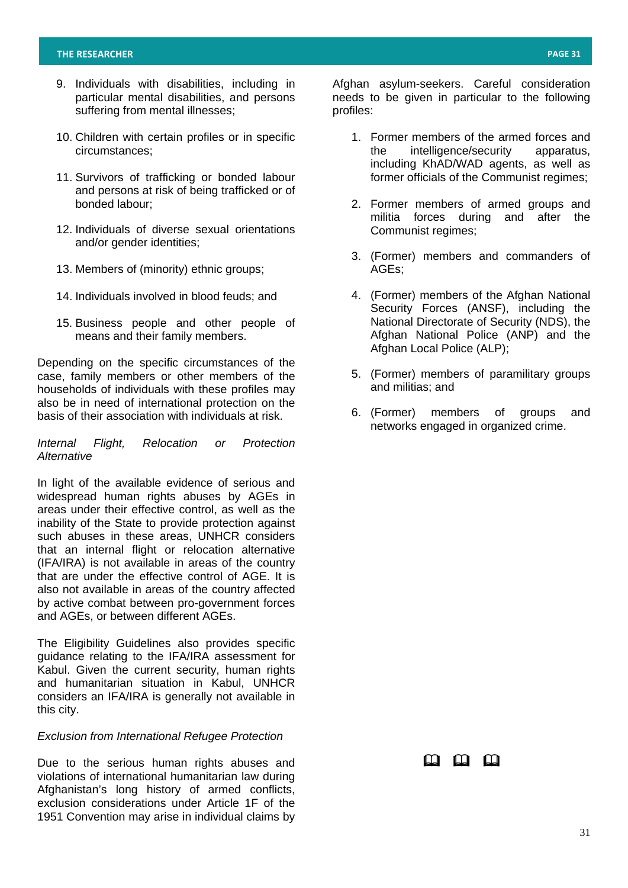- 9. Individuals with disabilities, including in particular mental disabilities, and persons suffering from mental illnesses;
- 10. Children with certain profiles or in specific circumstances;
- 11. Survivors of trafficking or bonded labour and persons at risk of being trafficked or of bonded labour;
- 12. Individuals of diverse sexual orientations and/or gender identities;
- 13. Members of (minority) ethnic groups;
- 14. Individuals involved in blood feuds; and
- 15. Business people and other people of means and their family members.

Depending on the specific circumstances of the case, family members or other members of the households of individuals with these profiles may also be in need of international protection on the basis of their association with individuals at risk.

## *Internal Flight, Relocation or Protection Alternative*

In light of the available evidence of serious and widespread human rights abuses by AGEs in areas under their effective control, as well as the inability of the State to provide protection against such abuses in these areas, UNHCR considers that an internal flight or relocation alternative (IFA/IRA) is not available in areas of the country that are under the effective control of AGE. It is also not available in areas of the country affected by active combat between pro-government forces and AGEs, or between different AGEs.

The Eligibility Guidelines also provides specific guidance relating to the IFA/IRA assessment for Kabul. Given the current security, human rights and humanitarian situation in Kabul, UNHCR considers an IFA/IRA is generally not available in this city.

## *Exclusion from International Refugee Protection*

Due to the serious human rights abuses and violations of international humanitarian law during Afghanistan's long history of armed conflicts, exclusion considerations under Article 1F of the 1951 Convention may arise in individual claims by

Afghan asylum-seekers. Careful consideration needs to be given in particular to the following profiles:

- 1. Former members of the armed forces and the intelligence/security apparatus, including KhAD/WAD agents, as well as former officials of the Communist regimes;
- 2. Former members of armed groups and militia forces during and after the Communist regimes;
- 3. (Former) members and commanders of AGEs;
- 4. (Former) members of the Afghan National Security Forces (ANSF), including the National Directorate of Security (NDS), the Afghan National Police (ANP) and the Afghan Local Police (ALP);
- 5. (Former) members of paramilitary groups and militias; and
- 6. (Former) members of groups and networks engaged in organized crime.

# m m m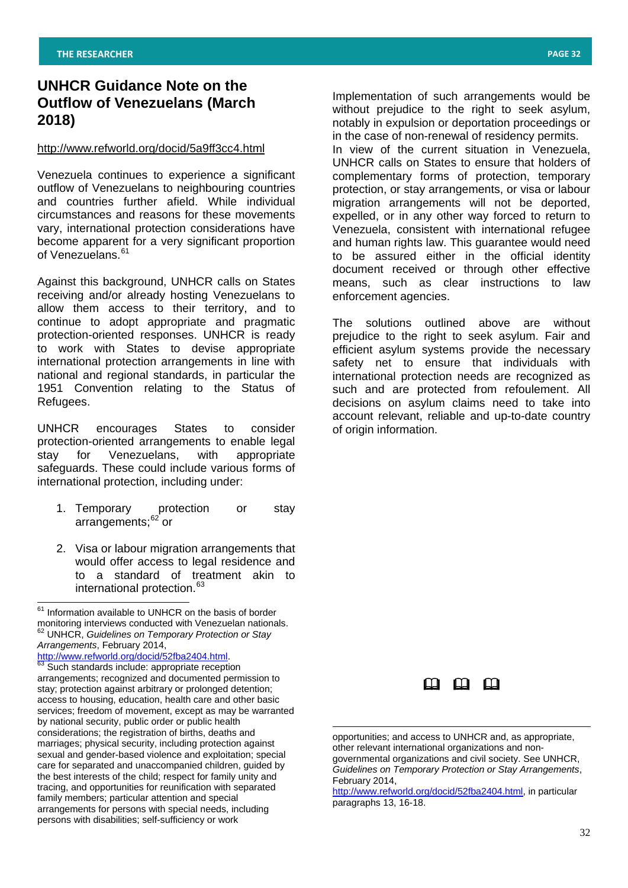# **UNHCR Guidance Note on the Outflow of Venezuelans (March 2018)**

## <http://www.refworld.org/docid/5a9ff3cc4.html>

Venezuela continues to experience a significant outflow of Venezuelans to neighbouring countries and countries further afield. While individual circumstances and reasons for these movements vary, international protection considerations have become apparent for a very significant proportion of Venezuelans. [61](#page-31-0)

Against this background, UNHCR calls on States receiving and/or already hosting Venezuelans to allow them access to their territory, and to continue to adopt appropriate and pragmatic protection-oriented responses. UNHCR is ready to work with States to devise appropriate international protection arrangements in line with national and regional standards, in particular the 1951 Convention relating to the Status of Refugees.

UNHCR encourages States to consider protection-oriented arrangements to enable legal stay for Venezuelans, with appropriate safeguards. These could include various forms of international protection, including under:

- 1. Temporary protection or stay arrangements; [62](#page-31-0) or
- 2. Visa or labour migration arrangements that would offer access to legal residence and to a standard of treatment akin to international protection.<sup>[63](#page-31-0)</sup>

[http://www.refworld.org/docid/52fba2404.html.](http://www.refworld.org/docid/52fba2404.html)<br><sup>63</sup> Such standards include: appropriate reception arrangements; recognized and documented permission to stay; protection against arbitrary or prolonged detention; access to housing, education, health care and other basic services; freedom of movement, except as may be warranted by national security, public order or public health considerations; the registration of births, deaths and marriages; physical security, including protection against sexual and gender-based violence and exploitation; special care for separated and unaccompanied children, guided by the best interests of the child; respect for family unity and tracing, and opportunities for reunification with separated family members; particular attention and special arrangements for persons with special needs, including persons with disabilities; self-sufficiency or work

Implementation of such arrangements would be without prejudice to the right to seek asylum, notably in expulsion or deportation proceedings or in the case of non-renewal of residency permits. In view of the current situation in Venezuela, UNHCR calls on States to ensure that holders of complementary forms of protection, temporary protection, or stay arrangements, or visa or labour migration arrangements will not be deported, expelled, or in any other way forced to return to Venezuela, consistent with international refugee and human rights law. This guarantee would need to be assured either in the official identity document received or through other effective means, such as clear instructions to law enforcement agencies.

The solutions outlined above are without prejudice to the right to seek asylum. Fair and efficient asylum systems provide the necessary safety net to ensure that individuals with international protection needs are recognized as such and are protected from refoulement. All decisions on asylum claims need to take into account relevant, reliable and up-to-date country of origin information.



opportunities; and access to UNHCR and, as appropriate, other relevant international organizations and nongovernmental organizations and civil society. See UNHCR, *Guidelines on Temporary Protection or Stay Arrangements*, February 2014,

-

[http://www.refworld.org/docid/52fba2404.html,](http://www.refworld.org/docid/52fba2404.html) in particular paragraphs 13, 16-18.

<span id="page-31-0"></span> $61$  Information available to UNHCR on the basis of border monitoring interviews conducted with Venezuelan nationals. <sup>62</sup> UNHCR, *Guidelines on Temporary Protection or Stay Arrangements*, February 2014,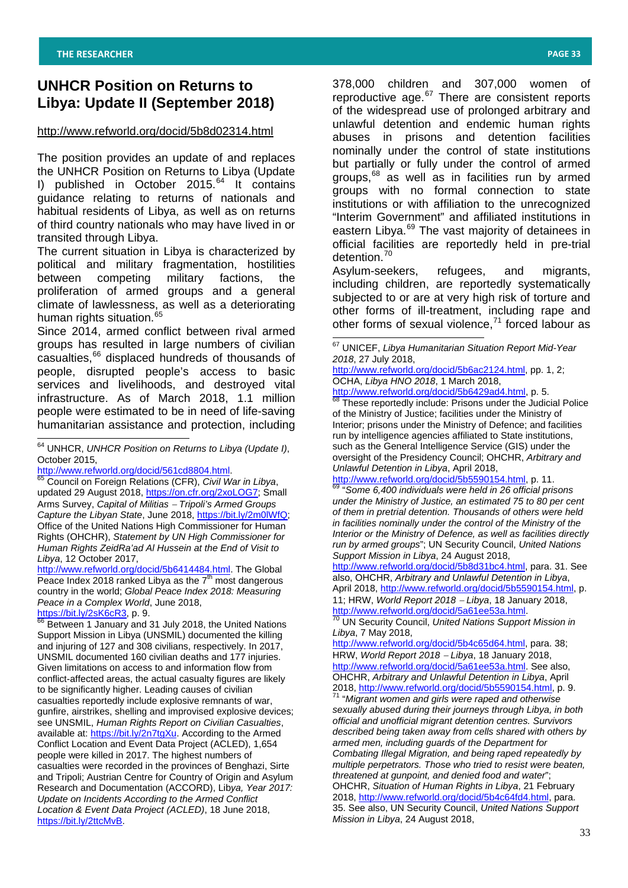# **UNHCR Position on Returns to Libya: Update II (September 2018)**

# <http://www.refworld.org/docid/5b8d02314.html>

The position provides an update of and replaces the UNHCR Position on Returns to Libya (Update I) published in October 2015.<sup>[64](#page-32-0)</sup> It contains guidance relating to returns of nationals and habitual residents of Libya, as well as on returns of third country nationals who may have lived in or transited through Libya.

The current situation in Libya is characterized by political and military fragmentation, hostilities between competing military factions, the proliferation of armed groups and a general climate of lawlessness, as well as a deteriorating human rights situation.<sup>[65](#page-32-0)</sup>

<span id="page-32-1"></span>Since 2014, armed conflict between rival armed groups has resulted in large numbers of civilian casualties,<sup>[66](#page-32-0)</sup> displaced hundreds of thousands of people, disrupted people's access to basic services and livelihoods, and destroyed vital infrastructure. As of March 2018, 1.1 million people were estimated to be in need of life-saving humanitarian assistance and protection, including

<span id="page-32-0"></span> <sup>64</sup> UNHCR, *UNHCR Position on Returns to Libya (Update I)*, October 2015,

[http://www.refworld.org/docid/561cd8804.html.](http://www.refworld.org/docid/561cd8804.html) [65](http://www.refworld.org/docid/561cd8804.html) Council on Foreign Relations (CFR), *Civil War in Libya*,

[http://www.refworld.org/docid/5b6414484.html.](http://www.refworld.org/docid/5b6414484.html) The Global Peace Index 2018 ranked Libya as the  $7<sup>th</sup>$  most dangerous country in the world; *Global Peace Index 2018: Measuring Peace in a Complex World*, June 2018,<br>https://bit.ly/2sK6cR3, p. 9.<br><sup>66</sup> Beturean 4, <sup>1-</sup>

Between 1 January and 31 July 2018, the United Nations Support Mission in Libya (UNSMIL) documented the killing and injuring of 127 and 308 civilians, respectively. In 2017, UNSMIL documented 160 civilian deaths and 177 injuries. Given limitations on access to and information flow from conflict-affected areas, the actual casualty figures are likely to be significantly higher. Leading causes of civilian casualties reportedly include explosive remnants of war, gunfire, airstrikes, shelling and improvised explosive devices; see UNSMIL, *Human Rights Report on Civilian Casualties*, available at: [https://bit.ly/2n7tgXu.](https://bit.ly/2n7tgXu) According to the Armed Conflict Location and Event Data Project (ACLED), 1,654 people were killed in 2017. The highest numbers of casualties were recorded in the provinces of Benghazi, Sirte and Tripoli; Austrian Centre for Country of Origin and Asylum Research and Documentation (ACCORD), Lib*ya, Year 2017: Update on Incidents According to the Armed Conflict Location & Event Data Project (ACLED)*, 18 June 2018, [https://bit.ly/2ttcMvB.](https://bit.ly/2ttcMvB)

378,000 children and 307,000 women of reproductive age.<sup>[67](#page-32-1)</sup> There are consistent reports of the widespread use of prolonged arbitrary and unlawful detention and endemic human rights abuses in prisons and detention facilities nominally under the control of state institutions but partially or fully under the control of armed groups,<sup>[68](#page-32-1)</sup> as well as in facilities run by armed groups with no formal connection to state institutions or with affiliation to the unrecognized "Interim Government" and affiliated institutions in eastern Libya.<sup>[69](#page-32-1)</sup> The vast majority of detainees in official facilities are reportedly held in pre-trial detention.<sup>[70](#page-32-1)</sup>

Asylum-seekers, refugees, and migrants, including children, are reportedly systematically subjected to or are at very high risk of torture and other forms of ill-treatment, including rape and other forms of sexual violence, $71$  forced labour as

[http://www.refworld.org/docid/5b6ac2124.html,](http://www.refworld.org/docid/5b6ac2124.html) pp. 1, 2; OCHA, *Libya HNO 2018*, 1 March 2018,

[http://www.refworld.org/docid/5b6429ad4.html,](http://www.refworld.org/docid/5b6429ad4.html) p. 5.<br>http://www.refworld.org/docid/5b6429ad4.html, p. 5.<br><sup>68</sup> These reportedly include: Prisons under the Judicial Police of the Ministry of Justice; facilities under the Ministry of

Interior; prisons under the Ministry of Defence; and facilities run by intelligence agencies affiliated to State institutions, such as the General Intelligence Service (GIS) under the oversight of the Presidency Council; OHCHR, *Arbitrary and Unlawful Detention in Libya*, April 2018,

[http://www.refworld.org/docid/5b5590154.html,](http://www.refworld.org/docid/5b5590154.html) p. 11. <sup>69</sup> "*Some 6,400 individuals were held in 26 official prisons under the Ministry of Justice, an estimated 75 to 80 per cent of them in pretrial detention. Thousands of others were held in facilities nominally under the control of the Ministry of the Interior or the Ministry of Defence, as well as facilities directly run by armed groups*"; UN Security Council, *United Nations Support Mission in Libya*, 24 August 2018,

[http://www.refworld.org/docid/5b8d31bc4.html,](http://www.refworld.org/docid/5b8d31bc4.html) para. 31. See also, OHCHR, *Arbitrary and Unlawful Detention in Libya*, April 2018, [http://www.refworld.org/docid/5b5590154.html,](http://www.refworld.org/docid/5b5590154.html) p.

11; HRW, *World Report 2018* <sup>−</sup> *Libya*, 18 January 2018, [http://www.refworld.org/docid/5a61ee53a.html.](http://www.refworld.org/docid/5a61ee53a.html) <sup>70</sup> UN Security Council, *United Nations Support Mission in* 

*Libya*, 7 May 2018,

[http://www.refworld.org/docid/5b4c65d64.html,](http://www.refworld.org/docid/5b4c65d64.html) para. 38; HRW, *World Report 2018* <sup>−</sup> *Libya*, 18 January 2018, [http://www.refworld.org/docid/5a61ee53a.html.](http://www.refworld.org/docid/5a61ee53a.html) See also, OHCHR, *Arbitrary and Unlawful Detention in Libya*, April 2018, [http://www.refworld.org/docid/5b5590154.html,](http://www.refworld.org/docid/5b5590154.html) p. 9. <sup>71</sup> "*Migrant women and girls were raped and otherwise* 

*sexually abused during their journeys through Libya, in both official and unofficial migrant detention centres. Survivors described being taken away from cells shared with others by armed men, including guards of the Department for Combating Illegal Migration, and being raped repeatedly by multiple perpetrators. Those who tried to resist were beaten, threatened at gunpoint, and denied food and water*"; OHCHR, *Situation of Human Rights in Libya*, 21 February 2018, [http://www.refworld.org/docid/5b4c64fd4.html,](http://www.refworld.org/docid/5b4c64fd4.html) para. 35. See also, UN Security Council, *United Nations Support Mission in Libya*, 24 August 2018,

updated 29 August 2018, [https://on.cfr.org/2xoLOG7;](https://on.cfr.org/2xoLOG7) Small Arms Survey, *Capital of Militias* <sup>−</sup> *Tripoli's Armed Groups Capture the Libyan State*, June 2018, [https://bit.ly/2m0lWfQ;](https://bit.ly/2m0lWfQ) Office of the United Nations High Commissioner for Human Rights (OHCHR), *Statement by UN High Commissioner for Human Rights ZeidRa'ad Al Hussein at the End of Visit to Libya*, 12 October 2017,

<sup>67</sup> UNICEF, *Libya Humanitarian Situation Report Mid-Year 2018*, 27 July 2018,